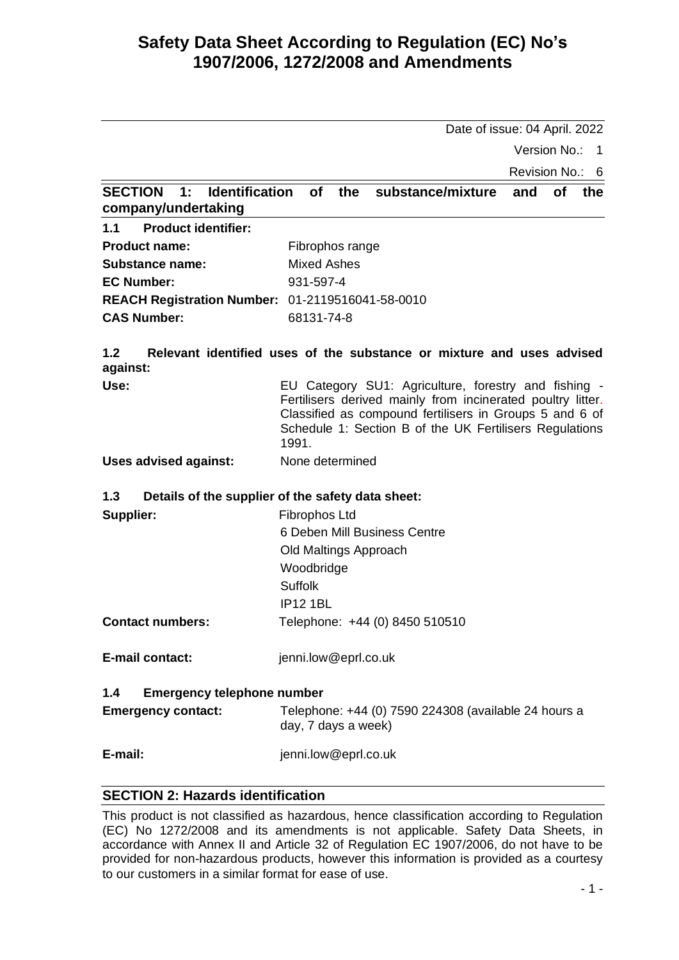Date of issue: 04 April. 2022

Version No.: 1

Revision No.: 6

**SECTION 1: Identification of the substance/mixture and of the company/undertaking**

| Fibrophos range                                  |
|--------------------------------------------------|
| Mixed Ashes                                      |
| 931-597-4                                        |
| REACH Registration Number: 01-2119516041-58-0010 |
| 68131-74-8                                       |
|                                                  |

**1.2 Relevant identified uses of the substance or mixture and uses advised against:**

| Use: | EU Category SU1: Agriculture, forestry and fishing -        |
|------|-------------------------------------------------------------|
|      | Fertilisers derived mainly from incinerated poultry litter. |
|      | Classified as compound fertilisers in Groups 5 and 6 of     |
|      | Schedule 1: Section B of the UK Fertilisers Regulations     |
|      | 1991.                                                       |
|      |                                                             |

**Uses advised against:** None determined

### **1.3 Details of the supplier of the safety data sheet:**

| Supplier:               | <b>Fibrophos Ltd</b>           |
|-------------------------|--------------------------------|
|                         | 6 Deben Mill Business Centre   |
|                         | Old Maltings Approach          |
|                         | Woodbridge                     |
|                         | Suffolk                        |
|                         | <b>IP12 1BL</b>                |
| <b>Contact numbers:</b> | Telephone: +44 (0) 8450 510510 |

**E-mail contact:** ienni.low@eprl.co.uk

# **1.4 Emergency telephone number**

| <b>Emergency contact:</b> | Telephone: +44 (0) 7590 224308 (available 24 hours a |
|---------------------------|------------------------------------------------------|
|                           | day, 7 days a week)                                  |

**E-mail:** jenni.low@eprl.co.uk

# **SECTION 2: Hazards identification**

This product is not classified as hazardous, hence classification according to Regulation (EC) No 1272/2008 and its amendments is not applicable. Safety Data Sheets, in accordance with Annex II and Article 32 of Regulation EC 1907/2006, do not have to be provided for non-hazardous products, however this information is provided as a courtesy to our customers in a similar format for ease of use.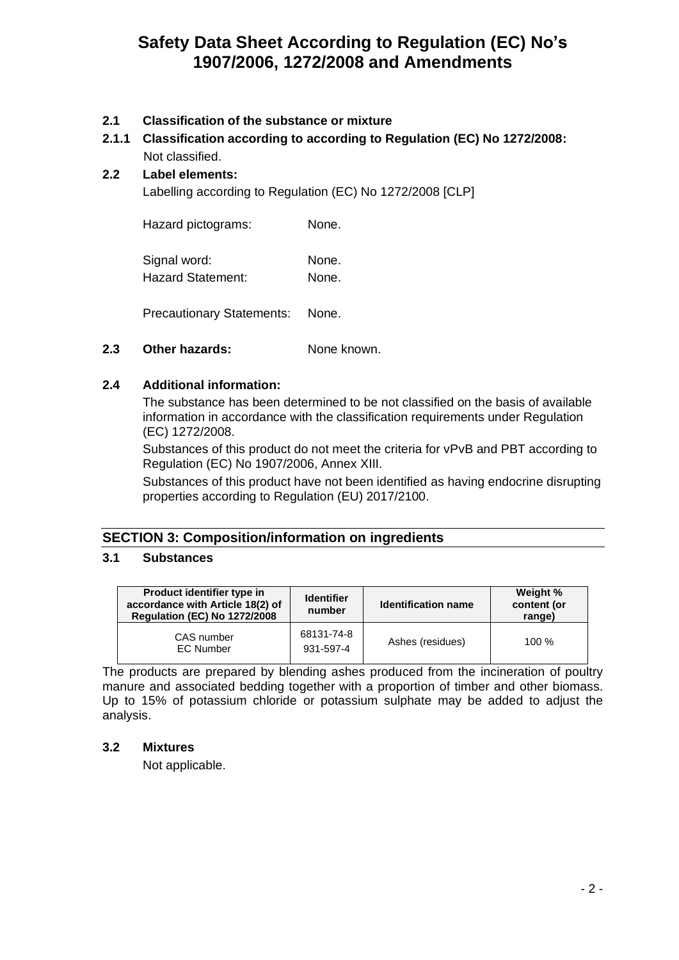# **2.1 Classification of the substance or mixture**

**2.1.1 Classification according to according to Regulation (EC) No 1272/2008:** Not classified.

# **2.2 Label elements:**

Labelling according to Regulation (EC) No 1272/2008 [CLP]

Hazard pictograms: None.

Signal word: None. Hazard Statement: None.

Precautionary Statements: None.

2.3 Other hazards: None known.

## **2.4 Additional information:**

The substance has been determined to be not classified on the basis of available information in accordance with the classification requirements under Regulation (EC) 1272/2008.

Substances of this product do not meet the criteria for vPvB and PBT according to Regulation (EC) No 1907/2006, Annex XIII.

Substances of this product have not been identified as having endocrine disrupting properties according to Regulation (EU) 2017/2100.

# **SECTION 3: Composition/information on ingredients**

### **3.1 Substances**

| Product identifier type in<br>accordance with Article 18(2) of<br><b>Regulation (EC) No 1272/2008</b> | <b>Identifier</b><br>number | <b>Identification name</b> | Weight %<br>content (or<br>range) |
|-------------------------------------------------------------------------------------------------------|-----------------------------|----------------------------|-----------------------------------|
| CAS number<br><b>EC Number</b>                                                                        | 68131-74-8<br>931-597-4     | Ashes (residues)           | $100\%$                           |

The products are prepared by blending ashes produced from the incineration of poultry manure and associated bedding together with a proportion of timber and other biomass. Up to 15% of potassium chloride or potassium sulphate may be added to adjust the analysis.

### **3.2 Mixtures**

Not applicable.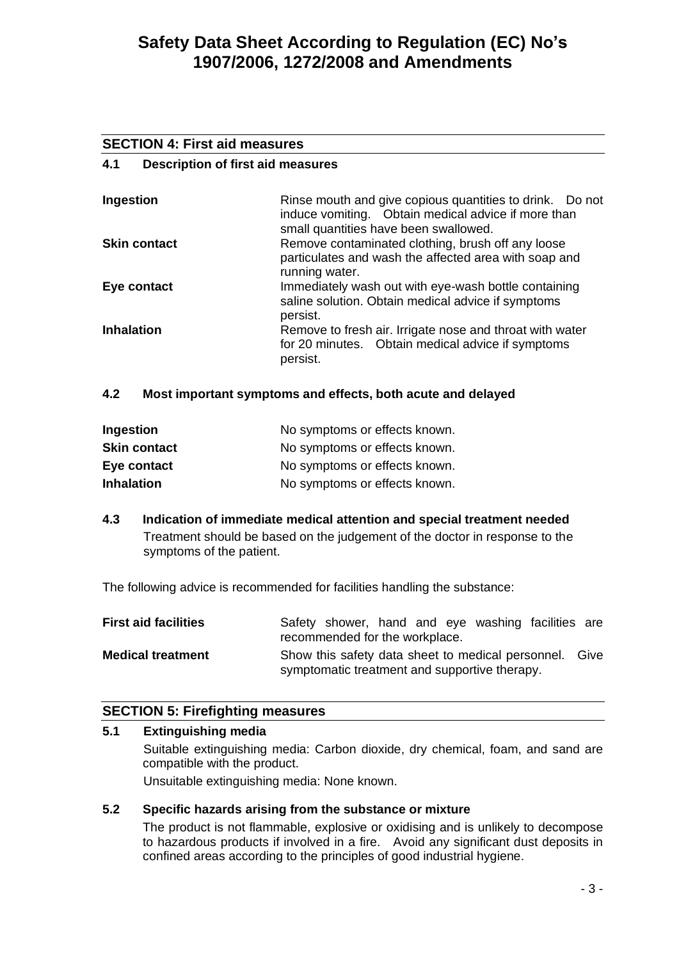## **SECTION 4: First aid measures**

### **4.1 Description of first aid measures**

| <b>Ingestion</b>    | Rinse mouth and give copious quantities to drink. Do not<br>induce vomiting. Obtain medical advice if more than<br>small quantities have been swallowed. |
|---------------------|----------------------------------------------------------------------------------------------------------------------------------------------------------|
| <b>Skin contact</b> | Remove contaminated clothing, brush off any loose<br>particulates and wash the affected area with soap and<br>running water.                             |
| Eye contact         | Immediately wash out with eye-wash bottle containing<br>saline solution. Obtain medical advice if symptoms<br>persist.                                   |
| <b>Inhalation</b>   | Remove to fresh air. Irrigate nose and throat with water<br>for 20 minutes. Obtain medical advice if symptoms<br>persist.                                |

## **4.2 Most important symptoms and effects, both acute and delayed**

| Ingestion           | No symptoms or effects known. |
|---------------------|-------------------------------|
| <b>Skin contact</b> | No symptoms or effects known. |
| Eye contact         | No symptoms or effects known. |
| <b>Inhalation</b>   | No symptoms or effects known. |

**4.3 Indication of immediate medical attention and special treatment needed** Treatment should be based on the judgement of the doctor in response to the symptoms of the patient.

The following advice is recommended for facilities handling the substance:

| <b>First aid facilities</b> | recommended for the workplace. |  | Safety shower, hand and eye washing facilities are                                                 |      |
|-----------------------------|--------------------------------|--|----------------------------------------------------------------------------------------------------|------|
| <b>Medical treatment</b>    |                                |  | Show this safety data sheet to medical personnel.<br>symptomatic treatment and supportive therapy. | Give |

# **SECTION 5: Firefighting measures**

### **5.1 Extinguishing media**

Suitable extinguishing media: Carbon dioxide, dry chemical, foam, and sand are compatible with the product.

Unsuitable extinguishing media: None known.

### **5.2 Specific hazards arising from the substance or mixture**

The product is not flammable, explosive or oxidising and is unlikely to decompose to hazardous products if involved in a fire. Avoid any significant dust deposits in confined areas according to the principles of good industrial hygiene.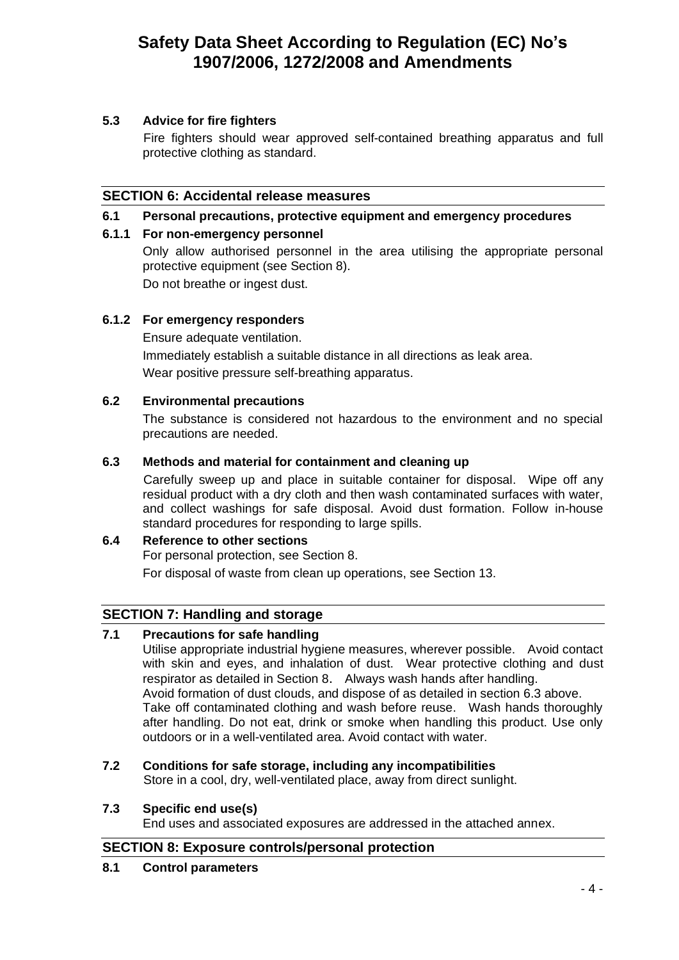# **5.3 Advice for fire fighters**

Fire fighters should wear approved self-contained breathing apparatus and full protective clothing as standard.

# **SECTION 6: Accidental release measures**

# **6.1 Personal precautions, protective equipment and emergency procedures**

# **6.1.1 For non-emergency personnel**

Only allow authorised personnel in the area utilising the appropriate personal protective equipment (see Section 8).

Do not breathe or ingest dust.

# **6.1.2 For emergency responders**

Ensure adequate ventilation.

Immediately establish a suitable distance in all directions as leak area. Wear positive pressure self-breathing apparatus.

# **6.2 Environmental precautions**

The substance is considered not hazardous to the environment and no special precautions are needed.

## **6.3 Methods and material for containment and cleaning up**

Carefully sweep up and place in suitable container for disposal. Wipe off any residual product with a dry cloth and then wash contaminated surfaces with water, and collect washings for safe disposal. Avoid dust formation. Follow in-house standard procedures for responding to large spills.

# **6.4 Reference to other sections**

For personal protection, see Section 8.

For disposal of waste from clean up operations, see Section 13.

# **SECTION 7: Handling and storage**

# **7.1 Precautions for safe handling**

Utilise appropriate industrial hygiene measures, wherever possible. Avoid contact with skin and eyes, and inhalation of dust. Wear protective clothing and dust respirator as detailed in Section 8. Always wash hands after handling. Avoid formation of dust clouds, and dispose of as detailed in section 6.3 above. Take off contaminated clothing and wash before reuse. Wash hands thoroughly after handling. Do not eat, drink or smoke when handling this product. Use only outdoors or in a well-ventilated area. Avoid contact with water.

# **7.2 Conditions for safe storage, including any incompatibilities**

Store in a cool, dry, well-ventilated place, away from direct sunlight.

### **7.3 Specific end use(s)**

End uses and associated exposures are addressed in the attached annex.

# **SECTION 8: Exposure controls/personal protection**

### **8.1 Control parameters**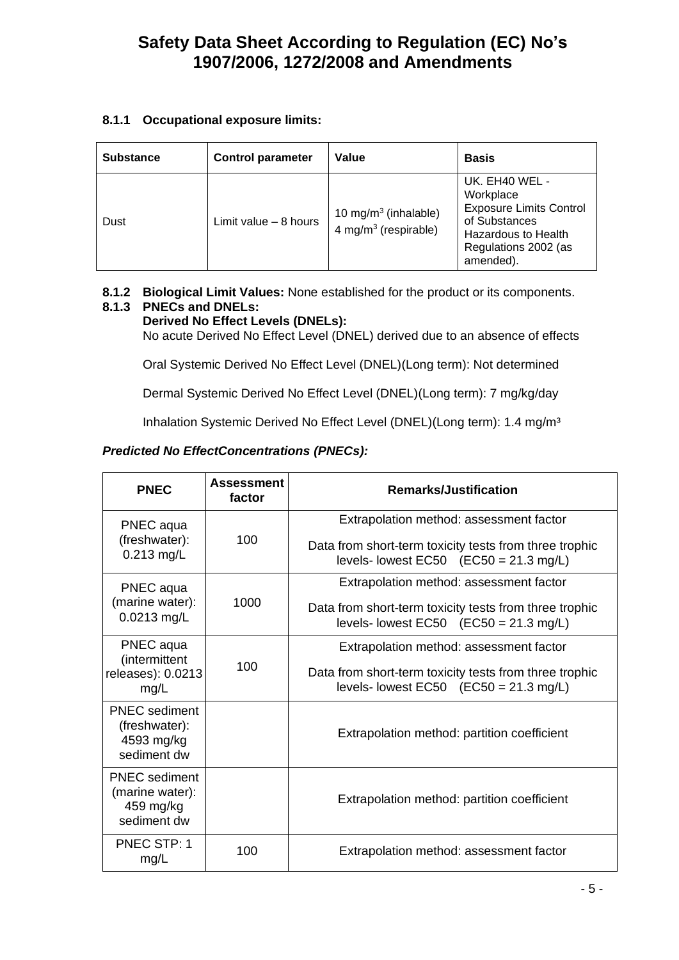# **8.1.1 Occupational exposure limits:**

| <b>Substance</b> | <b>Control parameter</b> | Value                                                       | <b>Basis</b>                                                                                                                                      |
|------------------|--------------------------|-------------------------------------------------------------|---------------------------------------------------------------------------------------------------------------------------------------------------|
| Dust             | Limit value $-8$ hours   | 10 mg/m $3$ (inhalable)<br>4 mg/m <sup>3</sup> (respirable) | UK. EH40 WEL -<br>Workplace<br><b>Exposure Limits Control</b><br>of Substances<br><b>Hazardous to Health</b><br>Regulations 2002 (as<br>amended). |

# **8.1.2 Biological Limit Values:** None established for the product or its components. **8.1.3 PNECs and DNELs:**

## **Derived No Effect Levels (DNELs):**

No acute Derived No Effect Level (DNEL) derived due to an absence of effects

Oral Systemic Derived No Effect Level (DNEL)(Long term): Not determined

Dermal Systemic Derived No Effect Level (DNEL)(Long term): 7 mg/kg/day

Inhalation Systemic Derived No Effect Level (DNEL)(Long term): 1.4 mg/m<sup>3</sup>

# *Predicted No EffectConcentrations (PNECs):*

| <b>PNEC</b>                                                         | <b>Assessment</b><br>factor | <b>Remarks/Justification</b>                                                                                 |
|---------------------------------------------------------------------|-----------------------------|--------------------------------------------------------------------------------------------------------------|
| PNEC aqua<br>(freshwater):                                          | 100                         | Extrapolation method: assessment factor                                                                      |
| $0.213$ mg/L                                                        |                             | Data from short-term toxicity tests from three trophic<br>levels- lowest $EC50$ ( $EC50 = 21.3$ mg/L)        |
| PNEC aqua                                                           |                             | Extrapolation method: assessment factor                                                                      |
| (marine water):<br>0.0213 mg/L                                      | 1000                        | Data from short-term toxicity tests from three trophic<br>levels- lowest $EC50$ $(EC50 = 21.3 \text{ mg/L})$ |
| PNEC aqua<br>(intermittent                                          |                             | Extrapolation method: assessment factor                                                                      |
| releases): 0.0213<br>mg/L                                           | 100                         | Data from short-term toxicity tests from three trophic<br>levels- lowest $EC50$ $(EC50 = 21.3 \text{ mg/L})$ |
| <b>PNEC</b> sediment<br>(freshwater):<br>4593 mg/kg<br>sediment dw  |                             | Extrapolation method: partition coefficient                                                                  |
| <b>PNEC</b> sediment<br>(marine water):<br>459 mg/kg<br>sediment dw |                             | Extrapolation method: partition coefficient                                                                  |
| PNEC STP: 1<br>mg/L                                                 | 100                         | Extrapolation method: assessment factor                                                                      |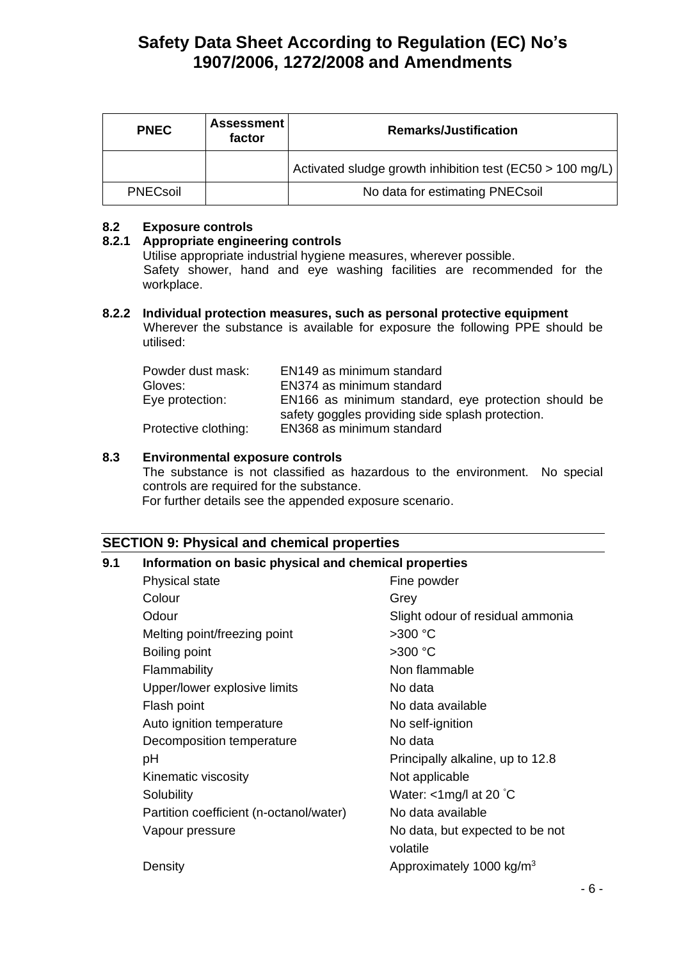| <b>PNEC</b>     | Assessment<br>factor | <b>Remarks/Justification</b>                              |  |
|-----------------|----------------------|-----------------------------------------------------------|--|
|                 |                      | Activated sludge growth inhibition test (EC50 > 100 mg/L) |  |
| <b>PNECsoil</b> |                      | No data for estimating PNECsoil                           |  |

### **8.2 Exposure controls**

## **8.2.1 Appropriate engineering controls**

Utilise appropriate industrial hygiene measures, wherever possible. Safety shower, hand and eye washing facilities are recommended for the workplace.

# **8.2.2 Individual protection measures, such as personal protective equipment**

Wherever the substance is available for exposure the following PPE should be utilised:

| Powder dust mask:    | EN149 as minimum standard                           |
|----------------------|-----------------------------------------------------|
| Gloves:              | EN374 as minimum standard                           |
| Eye protection:      | EN166 as minimum standard, eye protection should be |
|                      | safety goggles providing side splash protection.    |
| Protective clothing: | EN368 as minimum standard                           |

## **8.3 Environmental exposure controls**

The substance is not classified as hazardous to the environment. No special controls are required for the substance.

For further details see the appended exposure scenario.

# **SECTION 9: Physical and chemical properties**

### **9.1 Information on basic physical and chemical properties**

| Physical state                          | Fine powder                                 |
|-----------------------------------------|---------------------------------------------|
| Colour                                  | Grey                                        |
| Odour                                   | Slight odour of residual ammonia            |
| Melting point/freezing point            | $>300$ °C                                   |
| Boiling point                           | $>300$ °C                                   |
| Flammability                            | Non flammable                               |
| Upper/lower explosive limits            | No data                                     |
| Flash point                             | No data available                           |
| Auto ignition temperature               | No self-ignition                            |
| Decomposition temperature               | No data                                     |
| рH                                      | Principally alkaline, up to 12.8            |
| Kinematic viscosity                     | Not applicable                              |
| Solubility                              | Water: $\langle$ 1mg/l at 20 °C             |
| Partition coefficient (n-octanol/water) | No data available                           |
| Vapour pressure                         | No data, but expected to be not<br>volatile |
| Density                                 | Approximately 1000 kg/m <sup>3</sup>        |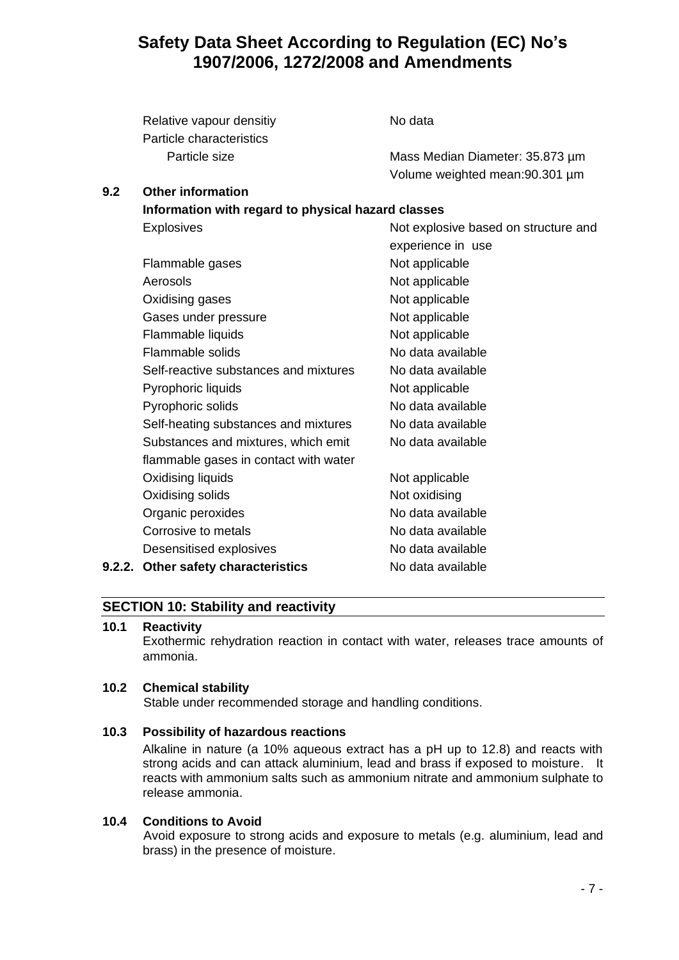| Relative vapour densitiy | No data                                    |
|--------------------------|--------------------------------------------|
| Particle characteristics |                                            |
| Particle size            | Mass Median Diameter: 35.873 um            |
|                          | $\frac{1}{1}$ lume weighted mean:00.201 um |

**Information with regard to physical hazard classes** 

### **9.2 Other information**

Volume weighted mean:90.301 µm

# Explosives Not explosive based on structure and experience in use Flammable gases Not applicable Aerosols Not applicable Oxidising gases Not applicable Gases under pressure Not applicable Flammable liquids Not applicable Flammable solids No data available Self-reactive substances and mixtures No data available Pyrophoric liquids Not applicable Pyrophoric solids No data available Self-heating substances and mixtures No data available Substances and mixtures, which emit No data available flammable gases in contact with water Oxidising liquids Not applicable Oxidising solids Not oxidising Organic peroxides No data available Corrosive to metals **No data available** Desensitised explosives No data available **9.2.2. Other safety characteristics** No data available

# **SECTION 10: Stability and reactivity**

### **10.1 Reactivity**

Exothermic rehydration reaction in contact with water, releases trace amounts of ammonia.

### **10.2 Chemical stability**

Stable under recommended storage and handling conditions.

### **10.3 Possibility of hazardous reactions**

Alkaline in nature (a 10% aqueous extract has a pH up to 12.8) and reacts with strong acids and can attack aluminium, lead and brass if exposed to moisture. It reacts with ammonium salts such as ammonium nitrate and ammonium sulphate to release ammonia.

#### **10.4 Conditions to Avoid**

Avoid exposure to strong acids and exposure to metals (e.g. aluminium, lead and brass) in the presence of moisture.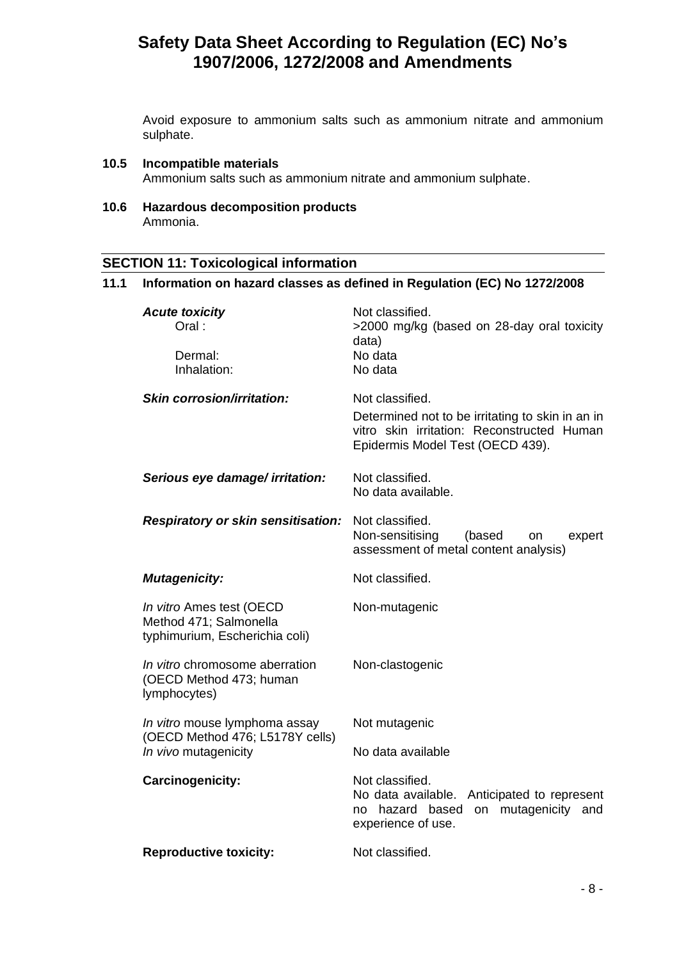Avoid exposure to ammonium salts such as ammonium nitrate and ammonium sulphate.

#### **10.5 Incompatible materials**

Ammonium salts such as ammonium nitrate and ammonium sulphate.

**10.6 Hazardous decomposition products** Ammonia.

# **SECTION 11: Toxicological information**

#### **11.1 Information on hazard classes as defined in Regulation (EC) No 1272/2008**

| <b>Acute toxicity</b><br>Oral:<br>Dermal:<br>Inhalation:                             | Not classified.<br>>2000 mg/kg (based on 28-day oral toxicity<br>data)<br>No data<br>No data                                                          |
|--------------------------------------------------------------------------------------|-------------------------------------------------------------------------------------------------------------------------------------------------------|
| <b>Skin corrosion/irritation:</b>                                                    | Not classified.<br>Determined not to be irritating to skin in an in<br>vitro skin irritation: Reconstructed Human<br>Epidermis Model Test (OECD 439). |
| Serious eye damage/ irritation:                                                      | Not classified.<br>No data available.                                                                                                                 |
| Respiratory or skin sensitisation:                                                   | Not classified.<br>Non-sensitising<br>(based<br>on<br>expert<br>assessment of metal content analysis)                                                 |
| <b>Mutagenicity:</b>                                                                 | Not classified.                                                                                                                                       |
| In vitro Ames test (OECD<br>Method 471; Salmonella<br>typhimurium, Escherichia coli) | Non-mutagenic                                                                                                                                         |
| In vitro chromosome aberration<br>(OECD Method 473; human<br>lymphocytes)            | Non-clastogenic                                                                                                                                       |
| In vitro mouse lymphoma assay                                                        | Not mutagenic                                                                                                                                         |
| (OECD Method 476; L5178Y cells)<br>In vivo mutagenicity                              | No data available                                                                                                                                     |
| Carcinogenicity:                                                                     | Not classified.<br>No data available. Anticipated to represent<br>on mutagenicity<br>hazard based<br>no<br>and<br>experience of use.                  |
| <b>Reproductive toxicity:</b>                                                        | Not classified.                                                                                                                                       |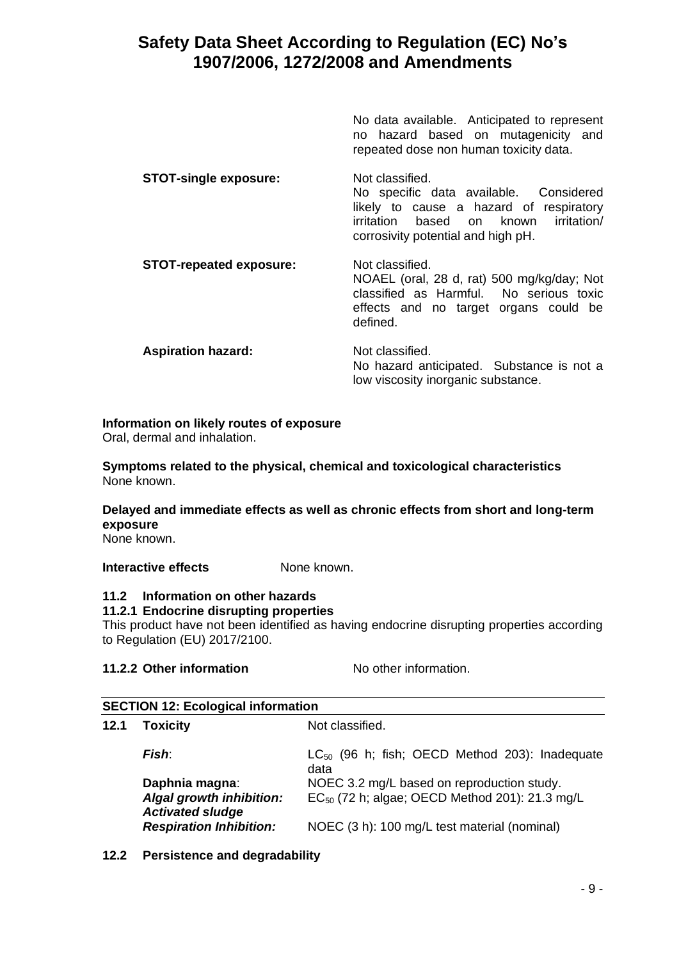|                                | No data available. Anticipated to represent<br>hazard based on mutagenicity and<br>no<br>repeated dose non human toxicity data.                                                        |
|--------------------------------|----------------------------------------------------------------------------------------------------------------------------------------------------------------------------------------|
| <b>STOT-single exposure:</b>   | Not classified.<br>No specific data available. Considered<br>likely to cause a hazard of respiratory<br>based on known irritation/<br>irritation<br>corrosivity potential and high pH. |
| <b>STOT-repeated exposure:</b> | Not classified.<br>NOAEL (oral, 28 d, rat) 500 mg/kg/day; Not<br>classified as Harmful. No serious toxic<br>effects and no target organs could be<br>defined.                          |
| <b>Aspiration hazard:</b>      | Not classified.<br>No hazard anticipated. Substance is not a<br>low viscosity inorganic substance.                                                                                     |

### **Information on likely routes of exposure**

Oral, dermal and inhalation.

**Symptoms related to the physical, chemical and toxicological characteristics** None known.

# **Delayed and immediate effects as well as chronic effects from short and long-term exposure**

None known.

**Interactive effects** None known.

### **11.2 Information on other hazards**

**11.2.1 Endocrine disrupting properties** 

This product have not been identified as having endocrine disrupting properties according to Regulation (EU) 2017/2100.

### **11.2.2 Other information No other information.**

### **SECTION 12: Ecological information**

**12.1 Toxicity** Not classified.

| Fish:                                               | $LC_{50}$ (96 h; fish; OECD Method 203): Inadequate<br>data |
|-----------------------------------------------------|-------------------------------------------------------------|
| Daphnia magna:                                      | NOEC 3.2 mg/L based on reproduction study.                  |
| Algal growth inhibition:<br><b>Activated sludge</b> | EC <sub>50</sub> (72 h; algae; OECD Method 201): 21.3 mg/L  |
| <b>Respiration Inhibition:</b>                      | NOEC (3 h): 100 mg/L test material (nominal)                |

**12.2 Persistence and degradability**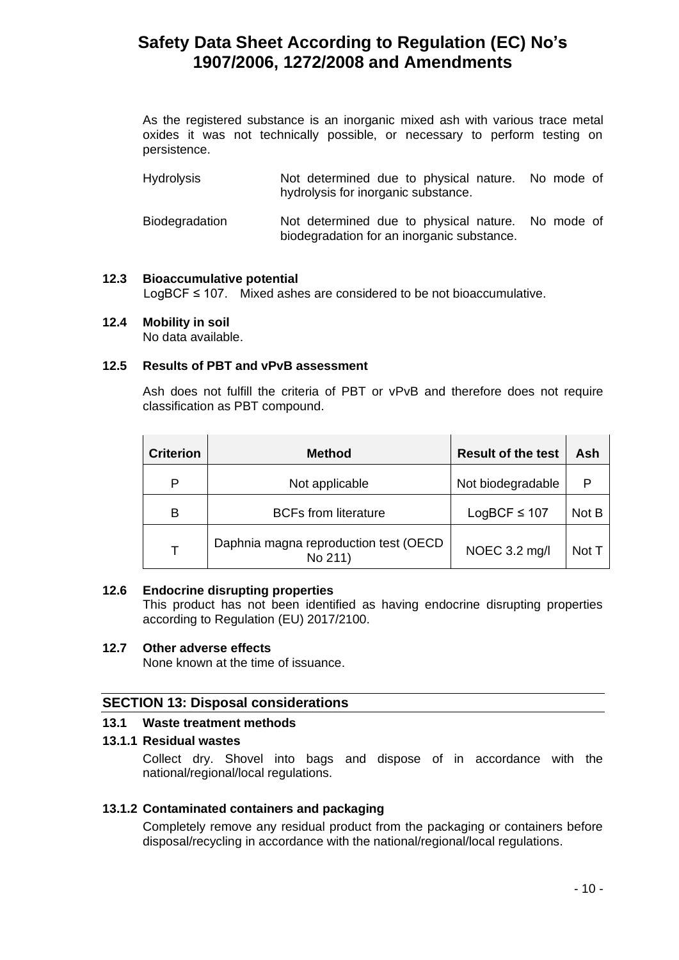As the registered substance is an inorganic mixed ash with various trace metal oxides it was not technically possible, or necessary to perform testing on persistence.

| <b>Hydrolysis</b> | Not determined due to physical nature. No mode of |  |  |
|-------------------|---------------------------------------------------|--|--|
|                   | hydrolysis for inorganic substance.               |  |  |

Biodegradation Not determined due to physical nature. No mode of biodegradation for an inorganic substance.

#### **12.3 Bioaccumulative potential**

LogBCF ≤ 107. Mixed ashes are considered to be not bioaccumulative.

#### **12.4 Mobility in soil**

No data available.

#### **12.5 Results of PBT and vPvB assessment**

Ash does not fulfill the criteria of PBT or vPvB and therefore does not require classification as PBT compound.

| <b>Criterion</b> | <b>Method</b>                                    | <b>Result of the test</b> | Ash   |
|------------------|--------------------------------------------------|---------------------------|-------|
| Þ                | Not applicable                                   | Not biodegradable         | P     |
| В                | <b>BCFs from literature</b>                      | $LogBCF \leq 107$         | Not B |
| T.               | Daphnia magna reproduction test (OECD<br>No 211) | NOEC 3.2 mg/l             | Not T |

#### **12.6 Endocrine disrupting properties**

This product has not been identified as having endocrine disrupting properties according to Regulation (EU) 2017/2100.

#### **12.7 Other adverse effects**

None known at the time of issuance.

### **SECTION 13: Disposal considerations**

#### **13.1 Waste treatment methods**

#### **13.1.1 Residual wastes**

Collect dry. Shovel into bags and dispose of in accordance with the national/regional/local regulations.

### **13.1.2 Contaminated containers and packaging**

Completely remove any residual product from the packaging or containers before disposal/recycling in accordance with the national/regional/local regulations.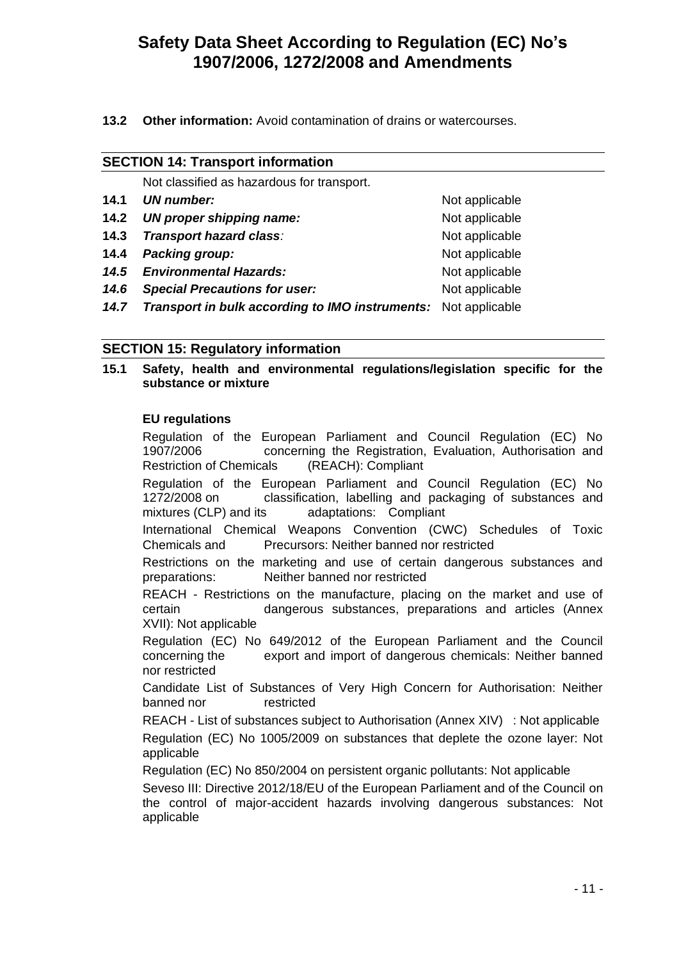**13.2 Other information:** Avoid contamination of drains or watercourses.

| <b>SECTION 14: Transport information</b> |                                                                       |                |
|------------------------------------------|-----------------------------------------------------------------------|----------------|
|                                          | Not classified as hazardous for transport.                            |                |
| 14.1                                     | UN number:                                                            | Not applicable |
| 14.2                                     | UN proper shipping name:                                              | Not applicable |
| 14.3                                     | <b>Transport hazard class:</b>                                        | Not applicable |
| 14.4                                     | Packing group:                                                        | Not applicable |
| 14.5                                     | <b>Environmental Hazards:</b>                                         | Not applicable |
| 14.6                                     | <b>Special Precautions for user:</b>                                  | Not applicable |
| 14.7                                     | <b>Transport in bulk according to IMO instruments:</b> Not applicable |                |

## **SECTION 15: Regulatory information**

**15.1 Safety, health and environmental regulations/legislation specific for the substance or mixture**

#### **EU regulations**

Regulation of the European Parliament and Council Regulation (EC) No 1907/2006 concerning the Registration, Evaluation, Authorisation and Restriction of Chemicals (REACH): Compliant

Regulation of the European Parliament and Council Regulation (EC) No 1272/2008 on classification, labelling and packaging of substances and mixtures (CLP) and its adaptations: Compliant

International Chemical Weapons Convention (CWC) Schedules of Toxic Chemicals and Precursors: Neither banned nor restricted

Restrictions on the marketing and use of certain dangerous substances and preparations: Neither banned nor restricted

REACH - Restrictions on the manufacture, placing on the market and use of certain dangerous substances, preparations and articles (Annex XVII): Not applicable

Regulation (EC) No 649/2012 of the European Parliament and the Council concerning the export and import of dangerous chemicals: Neither banned nor restricted

Candidate List of Substances of Very High Concern for Authorisation: Neither banned nor restricted

REACH - List of substances subject to Authorisation (Annex XIV) : Not applicable

Regulation (EC) No 1005/2009 on substances that deplete the ozone layer: Not applicable

Regulation (EC) No 850/2004 on persistent organic pollutants: Not applicable

Seveso III: Directive 2012/18/EU of the European Parliament and of the Council on the control of major-accident hazards involving dangerous substances: Not applicable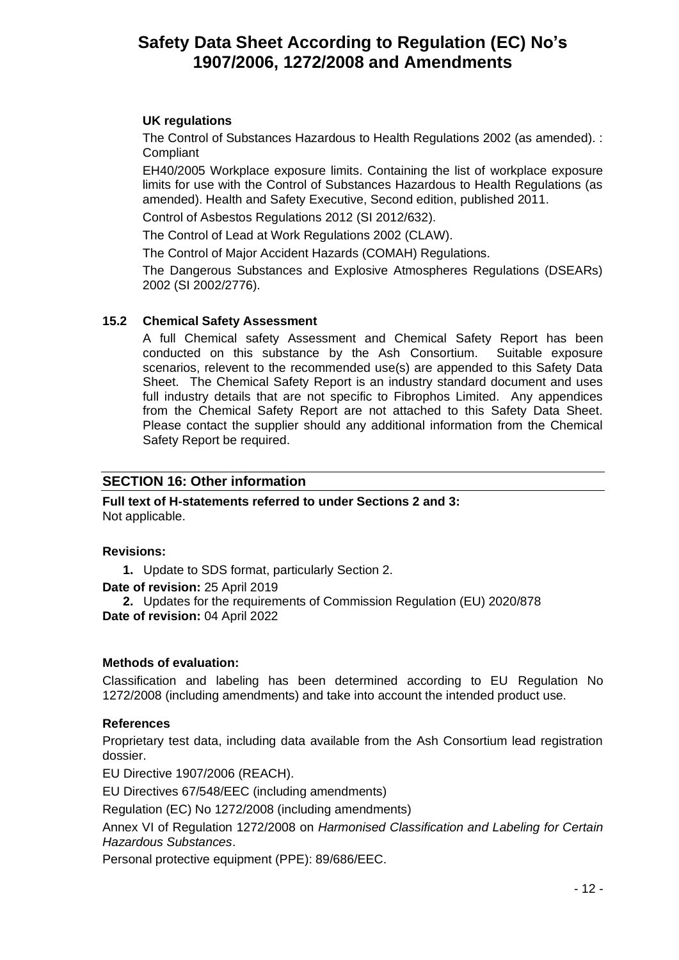## **UK regulations**

The Control of Substances Hazardous to Health Regulations 2002 (as amended). : Compliant

EH40/2005 Workplace exposure limits. Containing the list of workplace exposure limits for use with the Control of Substances Hazardous to Health Regulations (as amended). Health and Safety Executive, Second edition, published 2011.

Control of Asbestos Regulations 2012 (SI 2012/632).

The Control of Lead at Work Regulations 2002 (CLAW).

The Control of Major Accident Hazards (COMAH) Regulations.

The Dangerous Substances and Explosive Atmospheres Regulations (DSEARs) 2002 (SI 2002/2776).

## **15.2 Chemical Safety Assessment**

A full Chemical safety Assessment and Chemical Safety Report has been conducted on this substance by the Ash Consortium. Suitable exposure scenarios, relevent to the recommended use(s) are appended to this Safety Data Sheet. The Chemical Safety Report is an industry standard document and uses full industry details that are not specific to Fibrophos Limited. Any appendices from the Chemical Safety Report are not attached to this Safety Data Sheet. Please contact the supplier should any additional information from the Chemical Safety Report be required.

# **SECTION 16: Other information**

**Full text of H-statements referred to under Sections 2 and 3:** Not applicable.

### **Revisions:**

**1.** Update to SDS format, particularly Section 2.

**Date of revision:** 25 April 2019

**2.** Updates for the requirements of Commission Regulation (EU) 2020/878 **Date of revision:** 04 April 2022

### **Methods of evaluation:**

Classification and labeling has been determined according to EU Regulation No 1272/2008 (including amendments) and take into account the intended product use.

### **References**

Proprietary test data, including data available from the Ash Consortium lead registration dossier.

EU Directive 1907/2006 (REACH).

EU Directives 67/548/EEC (including amendments)

Regulation (EC) No 1272/2008 (including amendments)

Annex VI of Regulation 1272/2008 on *Harmonised Classification and Labeling for Certain Hazardous Substances*.

Personal protective equipment (PPE): 89/686/EEC.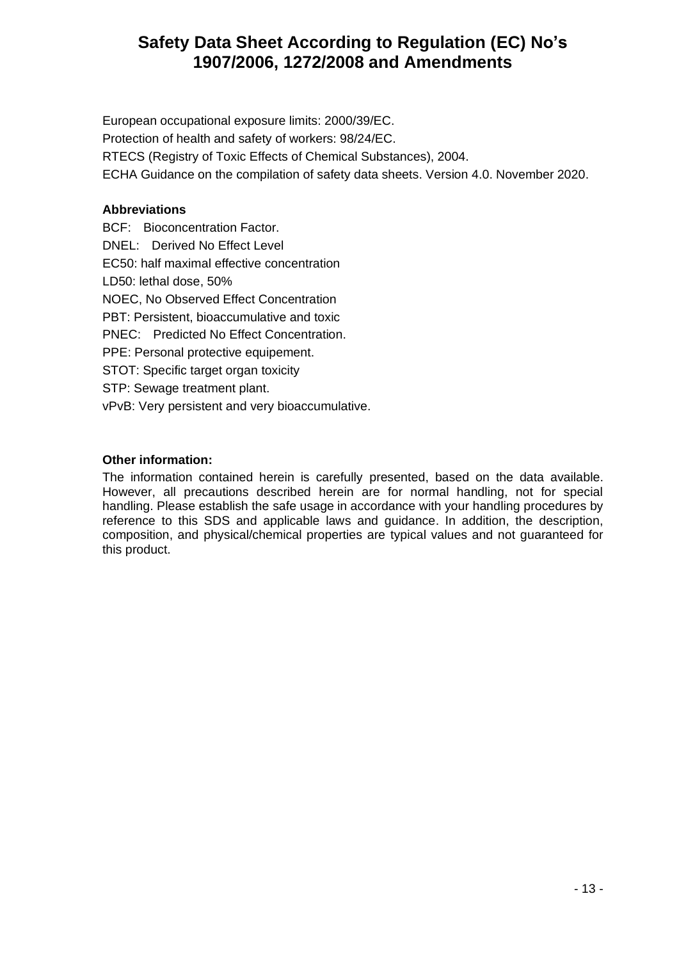European occupational exposure limits: 2000/39/EC. Protection of health and safety of workers: 98/24/EC. RTECS (Registry of Toxic Effects of Chemical Substances), 2004. ECHA Guidance on the compilation of safety data sheets. Version 4.0. November 2020.

## **Abbreviations**

BCF: Bioconcentration Factor. DNEL: Derived No Effect Level EC50: half maximal effective concentration LD50: lethal dose, 50% NOEC, No Observed Effect Concentration PBT: Persistent, bioaccumulative and toxic PNEC: Predicted No Effect Concentration. PPE: Personal protective equipement. STOT: Specific target organ toxicity STP: Sewage treatment plant. vPvB: Very persistent and very bioaccumulative.

## **Other information:**

The information contained herein is carefully presented, based on the data available. However, all precautions described herein are for normal handling, not for special handling. Please establish the safe usage in accordance with your handling procedures by reference to this SDS and applicable laws and guidance. In addition, the description, composition, and physical/chemical properties are typical values and not guaranteed for this product.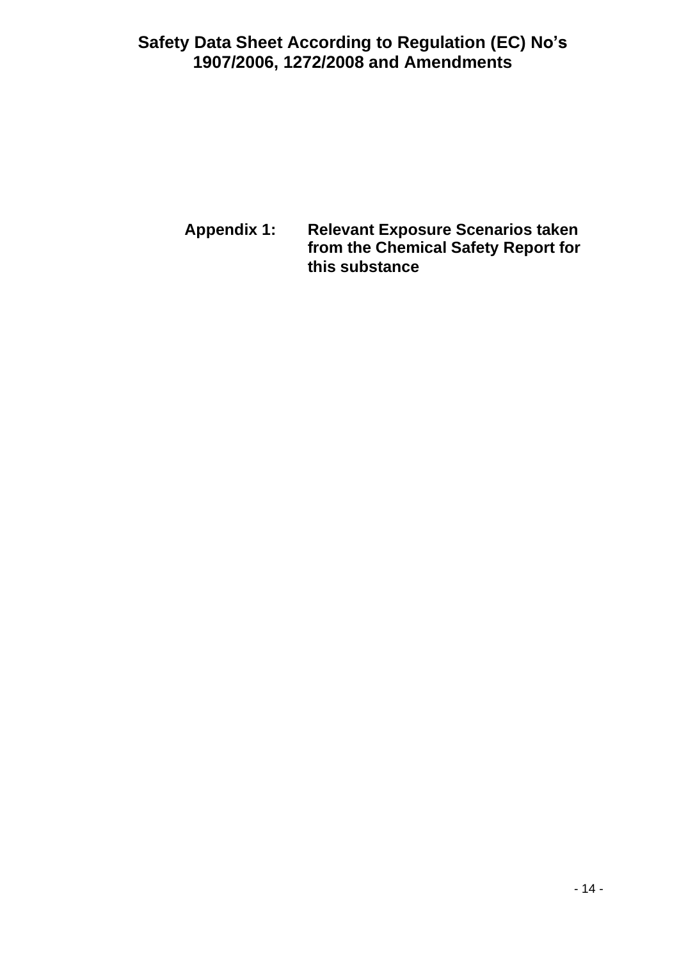**Appendix 1: Relevant Exposure Scenarios taken from the Chemical Safety Report for this substance**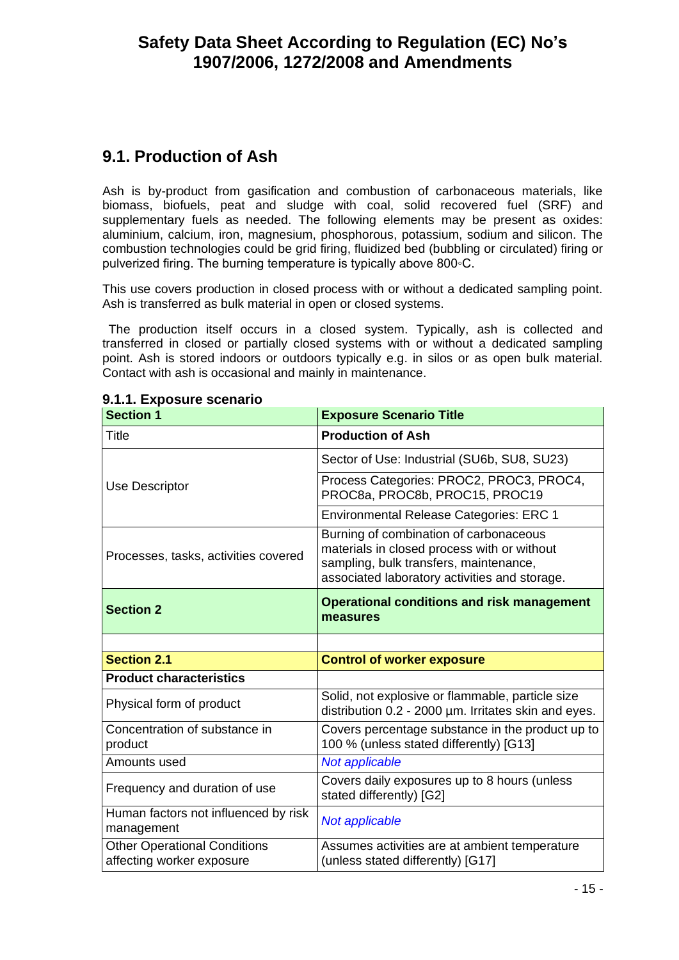# **9.1. Production of Ash**

Ash is by-product from gasification and combustion of carbonaceous materials, like biomass, biofuels, peat and sludge with coal, solid recovered fuel (SRF) and supplementary fuels as needed. The following elements may be present as oxides: aluminium, calcium, iron, magnesium, phosphorous, potassium, sodium and silicon. The combustion technologies could be grid firing, fluidized bed (bubbling or circulated) firing or pulverized firing. The burning temperature is typically above 800◦C.

This use covers production in closed process with or without a dedicated sampling point. Ash is transferred as bulk material in open or closed systems.

The production itself occurs in a closed system. Typically, ash is collected and transferred in closed or partially closed systems with or without a dedicated sampling point. Ash is stored indoors or outdoors typically e.g. in silos or as open bulk material. Contact with ash is occasional and mainly in maintenance.

| <b>Section 1</b>                                                 | <b>Exposure Scenario Title</b>                                                                                                                                                   |
|------------------------------------------------------------------|----------------------------------------------------------------------------------------------------------------------------------------------------------------------------------|
| Title                                                            | <b>Production of Ash</b>                                                                                                                                                         |
|                                                                  | Sector of Use: Industrial (SU6b, SU8, SU23)                                                                                                                                      |
| Use Descriptor                                                   | Process Categories: PROC2, PROC3, PROC4,<br>PROC8a, PROC8b, PROC15, PROC19                                                                                                       |
|                                                                  | <b>Environmental Release Categories: ERC 1</b>                                                                                                                                   |
| Processes, tasks, activities covered                             | Burning of combination of carbonaceous<br>materials in closed process with or without<br>sampling, bulk transfers, maintenance,<br>associated laboratory activities and storage. |
| <b>Section 2</b>                                                 | <b>Operational conditions and risk management</b><br>measures                                                                                                                    |
|                                                                  |                                                                                                                                                                                  |
| <b>Section 2.1</b>                                               | <b>Control of worker exposure</b>                                                                                                                                                |
| <b>Product characteristics</b>                                   |                                                                                                                                                                                  |
| Physical form of product                                         | Solid, not explosive or flammable, particle size<br>distribution 0.2 - 2000 um. Irritates skin and eyes.                                                                         |
| Concentration of substance in<br>product                         | Covers percentage substance in the product up to<br>100 % (unless stated differently) [G13]                                                                                      |
| Amounts used                                                     | Not applicable                                                                                                                                                                   |
| Frequency and duration of use                                    | Covers daily exposures up to 8 hours (unless<br>stated differently) [G2]                                                                                                         |
| Human factors not influenced by risk<br>management               | Not applicable                                                                                                                                                                   |
| <b>Other Operational Conditions</b><br>affecting worker exposure | Assumes activities are at ambient temperature<br>(unless stated differently) [G17]                                                                                               |

# **9.1.1. Exposure scenario**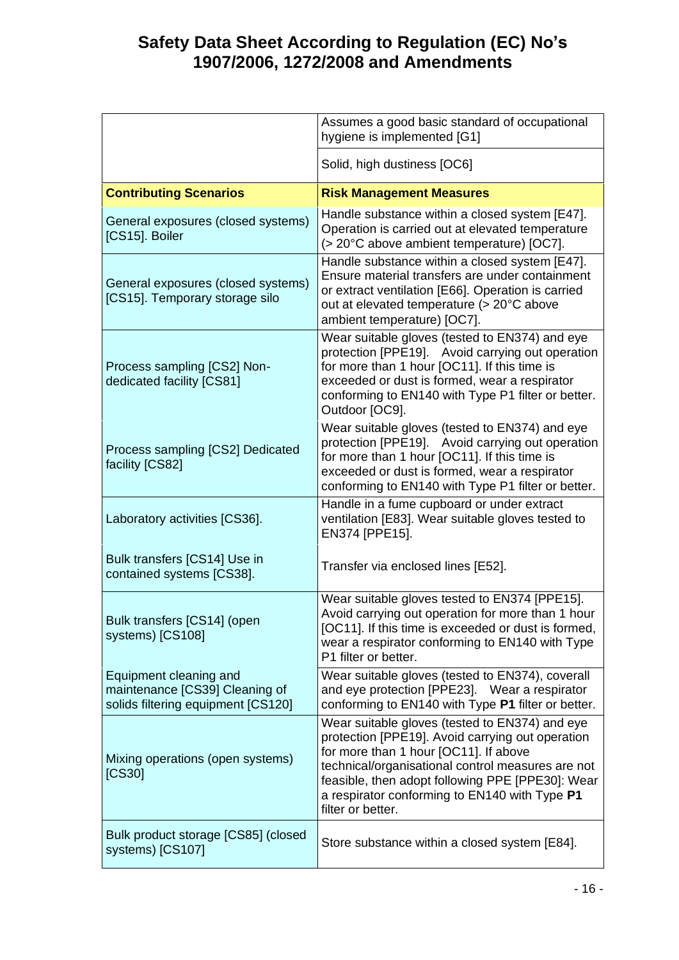|                                                                                                | Assumes a good basic standard of occupational<br>hygiene is implemented [G1]                                                                                                                                                                                                                                               |
|------------------------------------------------------------------------------------------------|----------------------------------------------------------------------------------------------------------------------------------------------------------------------------------------------------------------------------------------------------------------------------------------------------------------------------|
|                                                                                                | Solid, high dustiness [OC6]                                                                                                                                                                                                                                                                                                |
| <b>Contributing Scenarios</b>                                                                  | <b>Risk Management Measures</b>                                                                                                                                                                                                                                                                                            |
| General exposures (closed systems)<br>[CS15]. Boiler                                           | Handle substance within a closed system [E47].<br>Operation is carried out at elevated temperature<br>(> 20°C above ambient temperature) [OC7].                                                                                                                                                                            |
| General exposures (closed systems)<br>[CS15]. Temporary storage silo                           | Handle substance within a closed system [E47].<br>Ensure material transfers are under containment<br>or extract ventilation [E66]. Operation is carried<br>out at elevated temperature (> 20°C above<br>ambient temperature) [OC7].                                                                                        |
| Process sampling [CS2] Non-<br>dedicated facility [CS81]                                       | Wear suitable gloves (tested to EN374) and eye<br>protection [PPE19]. Avoid carrying out operation<br>for more than 1 hour [OC11]. If this time is<br>exceeded or dust is formed, wear a respirator<br>conforming to EN140 with Type P1 filter or better.<br>Outdoor [OC9].                                                |
| Process sampling [CS2] Dedicated<br>facility [CS82]                                            | Wear suitable gloves (tested to EN374) and eye<br>protection [PPE19]. Avoid carrying out operation<br>for more than 1 hour [OC11]. If this time is<br>exceeded or dust is formed, wear a respirator<br>conforming to EN140 with Type P1 filter or better.                                                                  |
| Laboratory activities [CS36].                                                                  | Handle in a fume cupboard or under extract<br>ventilation [E83]. Wear suitable gloves tested to<br>EN374 [PPE15].                                                                                                                                                                                                          |
| Bulk transfers [CS14] Use in<br>contained systems [CS38].                                      | Transfer via enclosed lines [E52].                                                                                                                                                                                                                                                                                         |
| Bulk transfers [CS14] (open<br>systems) [CS108]                                                | Wear suitable gloves tested to EN374 [PPE15].<br>Avoid carrying out operation for more than 1 hour<br>[OC11]. If this time is exceeded or dust is formed,<br>wear a respirator conforming to EN140 with Type<br>P1 filter or better.                                                                                       |
| Equipment cleaning and<br>maintenance [CS39] Cleaning of<br>solids filtering equipment [CS120] | Wear suitable gloves (tested to EN374), coverall<br>and eye protection [PPE23]. Wear a respirator<br>conforming to EN140 with Type P1 filter or better.                                                                                                                                                                    |
| Mixing operations (open systems)<br>[CS30]                                                     | Wear suitable gloves (tested to EN374) and eye<br>protection [PPE19]. Avoid carrying out operation<br>for more than 1 hour [OC11]. If above<br>technical/organisational control measures are not<br>feasible, then adopt following PPE [PPE30]: Wear<br>a respirator conforming to EN140 with Type P1<br>filter or better. |
| Bulk product storage [CS85] (closed<br>systems) [CS107]                                        | Store substance within a closed system [E84].                                                                                                                                                                                                                                                                              |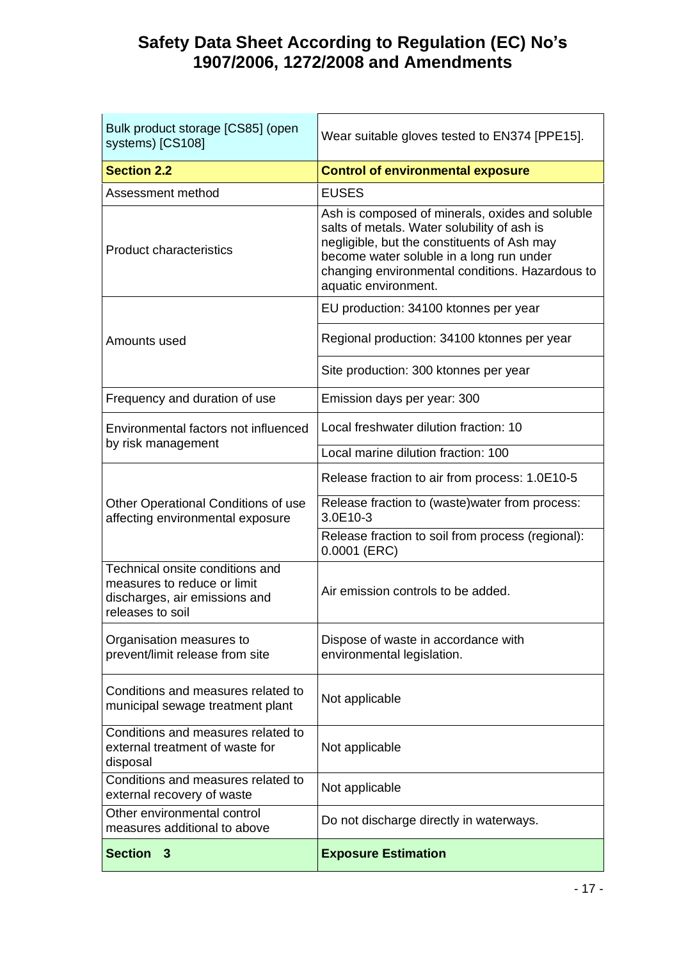| Bulk product storage [CS85] (open<br>systems) [CS108]                                                               | Wear suitable gloves tested to EN374 [PPE15].                                                                                                                                                                                                                        |
|---------------------------------------------------------------------------------------------------------------------|----------------------------------------------------------------------------------------------------------------------------------------------------------------------------------------------------------------------------------------------------------------------|
| <b>Section 2.2</b>                                                                                                  | <b>Control of environmental exposure</b>                                                                                                                                                                                                                             |
| Assessment method                                                                                                   | <b>EUSES</b>                                                                                                                                                                                                                                                         |
| <b>Product characteristics</b>                                                                                      | Ash is composed of minerals, oxides and soluble<br>salts of metals. Water solubility of ash is<br>negligible, but the constituents of Ash may<br>become water soluble in a long run under<br>changing environmental conditions. Hazardous to<br>aquatic environment. |
|                                                                                                                     | EU production: 34100 ktonnes per year                                                                                                                                                                                                                                |
| Amounts used                                                                                                        | Regional production: 34100 ktonnes per year                                                                                                                                                                                                                          |
|                                                                                                                     | Site production: 300 ktonnes per year                                                                                                                                                                                                                                |
| Frequency and duration of use                                                                                       | Emission days per year: 300                                                                                                                                                                                                                                          |
| Environmental factors not influenced                                                                                | Local freshwater dilution fraction: 10                                                                                                                                                                                                                               |
| by risk management                                                                                                  | Local marine dilution fraction: 100                                                                                                                                                                                                                                  |
|                                                                                                                     | Release fraction to air from process: 1.0E10-5                                                                                                                                                                                                                       |
| Other Operational Conditions of use<br>affecting environmental exposure                                             | Release fraction to (waste) water from process:<br>3.0E10-3                                                                                                                                                                                                          |
|                                                                                                                     | Release fraction to soil from process (regional):<br>0.0001 (ERC)                                                                                                                                                                                                    |
| Technical onsite conditions and<br>measures to reduce or limit<br>discharges, air emissions and<br>releases to soil | Air emission controls to be added.                                                                                                                                                                                                                                   |
| Organisation measures to<br>prevent/limit release from site                                                         | Dispose of waste in accordance with<br>environmental legislation.                                                                                                                                                                                                    |
| Conditions and measures related to<br>municipal sewage treatment plant                                              | Not applicable                                                                                                                                                                                                                                                       |
| Conditions and measures related to<br>external treatment of waste for<br>disposal                                   | Not applicable                                                                                                                                                                                                                                                       |
| Conditions and measures related to<br>external recovery of waste                                                    | Not applicable                                                                                                                                                                                                                                                       |
| Other environmental control<br>measures additional to above                                                         | Do not discharge directly in waterways.                                                                                                                                                                                                                              |
| Section 3                                                                                                           | <b>Exposure Estimation</b>                                                                                                                                                                                                                                           |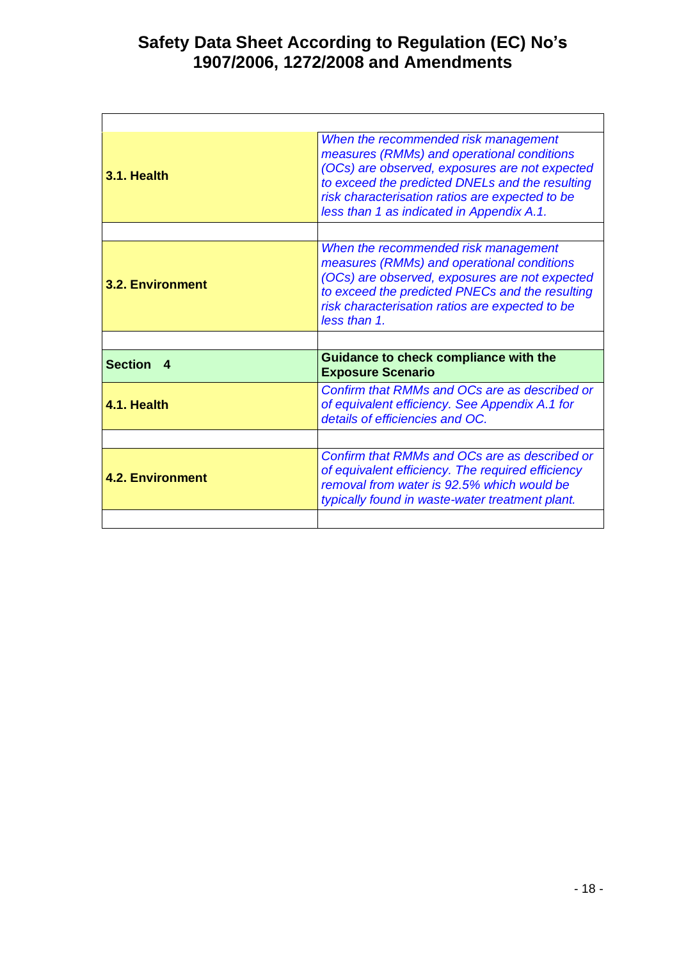| 3.1. Health                        | When the recommended risk management<br>measures (RMMs) and operational conditions<br>(OCs) are observed, exposures are not expected<br>to exceed the predicted DNELs and the resulting<br>risk characterisation ratios are expected to be<br>less than 1 as indicated in Appendix A.1. |
|------------------------------------|-----------------------------------------------------------------------------------------------------------------------------------------------------------------------------------------------------------------------------------------------------------------------------------------|
|                                    |                                                                                                                                                                                                                                                                                         |
| <b>3.2. Environment</b>            | When the recommended risk management<br>measures (RMMs) and operational conditions<br>(OCs) are observed, exposures are not expected<br>to exceed the predicted PNECs and the resulting<br>risk characterisation ratios are expected to be<br>less than 1.                              |
|                                    |                                                                                                                                                                                                                                                                                         |
| <b>Section</b><br>$\boldsymbol{A}$ | Guidance to check compliance with the<br><b>Exposure Scenario</b>                                                                                                                                                                                                                       |
| 4.1. Health                        | Confirm that RMMs and OCs are as described or<br>of equivalent efficiency. See Appendix A.1 for<br>details of efficiencies and OC.                                                                                                                                                      |
|                                    |                                                                                                                                                                                                                                                                                         |
| <b>4.2. Environment</b>            | Confirm that RMMs and OCs are as described or<br>of equivalent efficiency. The required efficiency<br>removal from water is 92.5% which would be<br>typically found in waste-water treatment plant.                                                                                     |
|                                    |                                                                                                                                                                                                                                                                                         |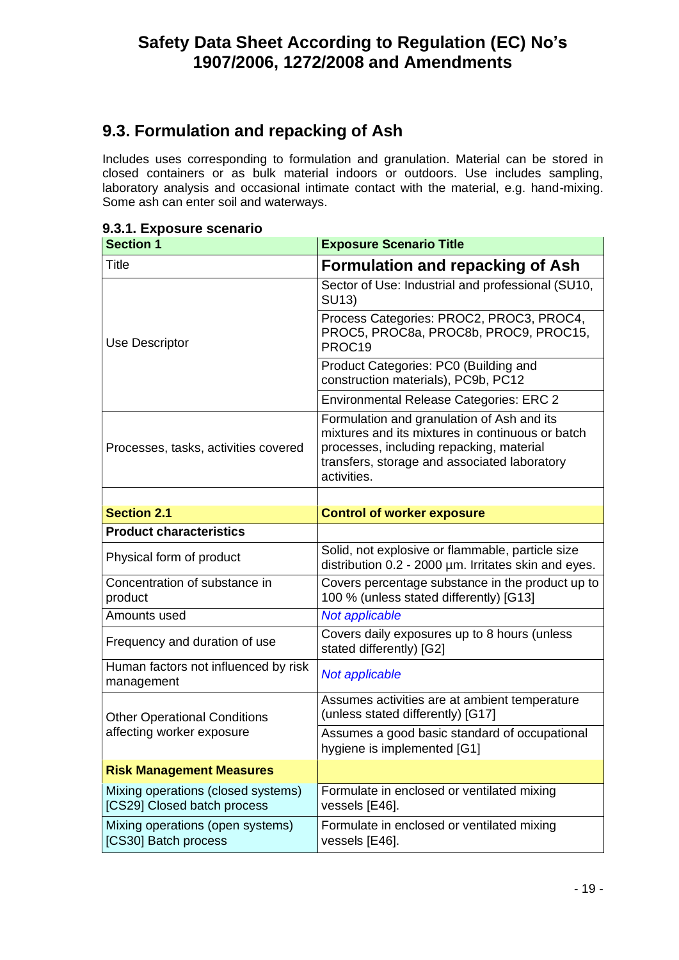# **9.3. Formulation and repacking of Ash**

Includes uses corresponding to formulation and granulation. Material can be stored in closed containers or as bulk material indoors or outdoors. Use includes sampling, laboratory analysis and occasional intimate contact with the material, e.g. hand-mixing. Some ash can enter soil and waterways.

| 9.9. LAPOSUI C SCCIIQI IO                                         |                                                                                                                                                                                                           |  |  |
|-------------------------------------------------------------------|-----------------------------------------------------------------------------------------------------------------------------------------------------------------------------------------------------------|--|--|
| <b>Section 1</b>                                                  | <b>Exposure Scenario Title</b>                                                                                                                                                                            |  |  |
| Title                                                             | <b>Formulation and repacking of Ash</b>                                                                                                                                                                   |  |  |
| Use Descriptor                                                    | Sector of Use: Industrial and professional (SU10,<br>SU13)                                                                                                                                                |  |  |
|                                                                   | Process Categories: PROC2, PROC3, PROC4,<br>PROC5, PROC8a, PROC8b, PROC9, PROC15,<br>PROC19                                                                                                               |  |  |
|                                                                   | Product Categories: PC0 (Building and<br>construction materials), PC9b, PC12                                                                                                                              |  |  |
|                                                                   | <b>Environmental Release Categories: ERC 2</b>                                                                                                                                                            |  |  |
| Processes, tasks, activities covered                              | Formulation and granulation of Ash and its<br>mixtures and its mixtures in continuous or batch<br>processes, including repacking, material<br>transfers, storage and associated laboratory<br>activities. |  |  |
|                                                                   |                                                                                                                                                                                                           |  |  |
| <b>Section 2.1</b>                                                | <b>Control of worker exposure</b>                                                                                                                                                                         |  |  |
| <b>Product characteristics</b>                                    |                                                                                                                                                                                                           |  |  |
| Physical form of product                                          | Solid, not explosive or flammable, particle size<br>distribution 0.2 - 2000 um. Irritates skin and eyes.                                                                                                  |  |  |
| Concentration of substance in<br>product                          | Covers percentage substance in the product up to<br>100 % (unless stated differently) [G13]                                                                                                               |  |  |
| Amounts used                                                      | Not applicable                                                                                                                                                                                            |  |  |
| Frequency and duration of use                                     | Covers daily exposures up to 8 hours (unless<br>stated differently) [G2]                                                                                                                                  |  |  |
| Human factors not influenced by risk<br>management                | Not applicable                                                                                                                                                                                            |  |  |
| <b>Other Operational Conditions</b><br>affecting worker exposure  | Assumes activities are at ambient temperature<br>(unless stated differently) [G17]                                                                                                                        |  |  |
|                                                                   | Assumes a good basic standard of occupational<br>hygiene is implemented [G1]                                                                                                                              |  |  |
| <b>Risk Management Measures</b>                                   |                                                                                                                                                                                                           |  |  |
| Mixing operations (closed systems)<br>[CS29] Closed batch process | Formulate in enclosed or ventilated mixing<br>vessels [E46].                                                                                                                                              |  |  |
| Mixing operations (open systems)<br>[CS30] Batch process          | Formulate in enclosed or ventilated mixing<br>vessels [E46].                                                                                                                                              |  |  |

# **9.3.1. Exposure scenario**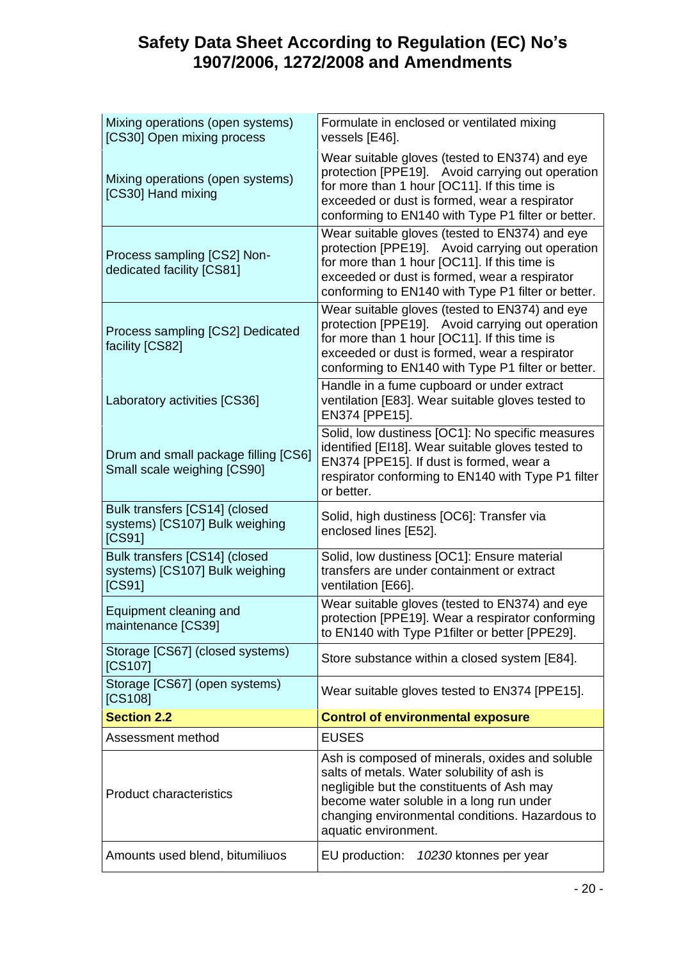| Mixing operations (open systems)<br>[CS30] Open mixing process            | Formulate in enclosed or ventilated mixing<br>vessels [E46].                                                                                                                                                                                                        |  |  |  |
|---------------------------------------------------------------------------|---------------------------------------------------------------------------------------------------------------------------------------------------------------------------------------------------------------------------------------------------------------------|--|--|--|
| Mixing operations (open systems)<br>[CS30] Hand mixing                    | Wear suitable gloves (tested to EN374) and eye<br>protection [PPE19]. Avoid carrying out operation<br>for more than 1 hour [OC11]. If this time is<br>exceeded or dust is formed, wear a respirator<br>conforming to EN140 with Type P1 filter or better.           |  |  |  |
| Process sampling [CS2] Non-<br>dedicated facility [CS81]                  | Wear suitable gloves (tested to EN374) and eye<br>protection [PPE19]. Avoid carrying out operation<br>for more than 1 hour [OC11]. If this time is<br>exceeded or dust is formed, wear a respirator<br>conforming to EN140 with Type P1 filter or better.           |  |  |  |
| Process sampling [CS2] Dedicated<br>facility [CS82]                       | Wear suitable gloves (tested to EN374) and eye<br>protection [PPE19]. Avoid carrying out operation<br>for more than 1 hour [OC11]. If this time is<br>exceeded or dust is formed, wear a respirator<br>conforming to EN140 with Type P1 filter or better.           |  |  |  |
| Laboratory activities [CS36]                                              | Handle in a fume cupboard or under extract<br>ventilation [E83]. Wear suitable gloves tested to<br>EN374 [PPE15].                                                                                                                                                   |  |  |  |
| Drum and small package filling [CS6]<br>Small scale weighing [CS90]       | Solid, low dustiness [OC1]: No specific measures<br>identified [EI18]. Wear suitable gloves tested to<br>EN374 [PPE15]. If dust is formed, wear a<br>respirator conforming to EN140 with Type P1 filter<br>or better.                                               |  |  |  |
| Bulk transfers [CS14] (closed<br>systems) [CS107] Bulk weighing<br>[CS91] | Solid, high dustiness [OC6]: Transfer via<br>enclosed lines [E52].                                                                                                                                                                                                  |  |  |  |
| Bulk transfers [CS14] (closed<br>systems) [CS107] Bulk weighing<br>[CS91] | Solid, low dustiness [OC1]: Ensure material<br>transfers are under containment or extract<br>ventilation [E66].                                                                                                                                                     |  |  |  |
| Equipment cleaning and                                                    | Wear suitable gloves (tested to EN374) and eye                                                                                                                                                                                                                      |  |  |  |
| maintenance [CS39]                                                        | protection [PPE19]. Wear a respirator conforming<br>to EN140 with Type P1filter or better [PPE29].                                                                                                                                                                  |  |  |  |
| Storage [CS67] (closed systems)<br>[CS107]                                | Store substance within a closed system [E84].                                                                                                                                                                                                                       |  |  |  |
| Storage [CS67] (open systems)<br>[CS108]                                  | Wear suitable gloves tested to EN374 [PPE15].                                                                                                                                                                                                                       |  |  |  |
| <b>Section 2.2</b>                                                        | <b>Control of environmental exposure</b>                                                                                                                                                                                                                            |  |  |  |
| Assessment method                                                         | <b>EUSES</b>                                                                                                                                                                                                                                                        |  |  |  |
| <b>Product characteristics</b>                                            | Ash is composed of minerals, oxides and soluble<br>salts of metals. Water solubility of ash is<br>negligible but the constituents of Ash may<br>become water soluble in a long run under<br>changing environmental conditions. Hazardous to<br>aquatic environment. |  |  |  |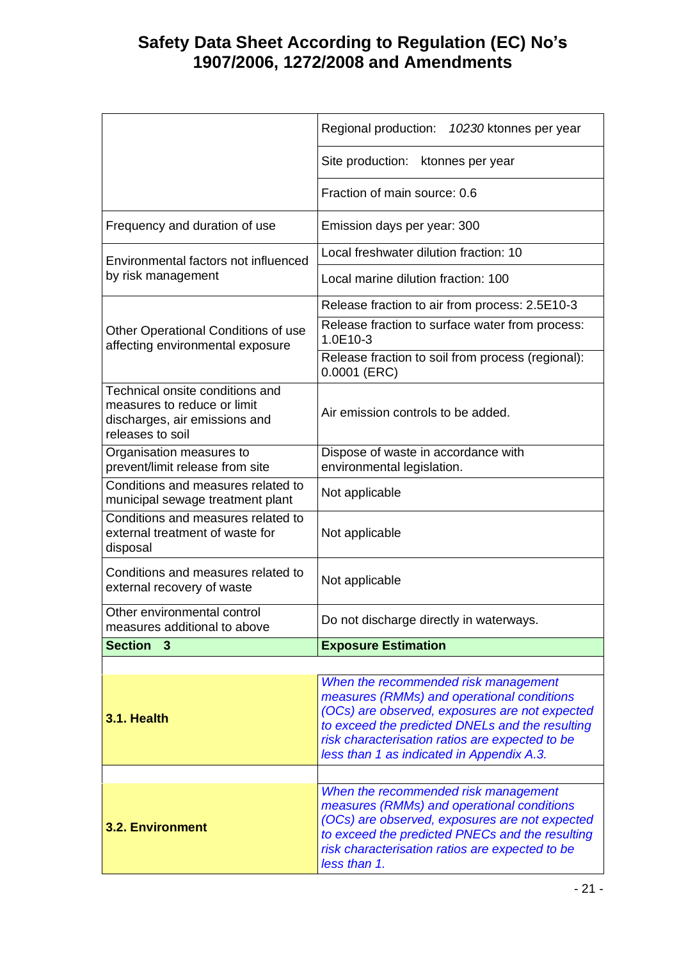|                                                                                                                     | Regional production: 10230 ktonnes per year                                                                                                                                                                                                                                             |  |  |  |
|---------------------------------------------------------------------------------------------------------------------|-----------------------------------------------------------------------------------------------------------------------------------------------------------------------------------------------------------------------------------------------------------------------------------------|--|--|--|
|                                                                                                                     | Site production:<br>ktonnes per year                                                                                                                                                                                                                                                    |  |  |  |
|                                                                                                                     | Fraction of main source: 0.6                                                                                                                                                                                                                                                            |  |  |  |
| Frequency and duration of use                                                                                       | Emission days per year: 300                                                                                                                                                                                                                                                             |  |  |  |
| Environmental factors not influenced<br>by risk management                                                          | Local freshwater dilution fraction: 10                                                                                                                                                                                                                                                  |  |  |  |
|                                                                                                                     | Local marine dilution fraction: 100                                                                                                                                                                                                                                                     |  |  |  |
|                                                                                                                     | Release fraction to air from process: 2.5E10-3                                                                                                                                                                                                                                          |  |  |  |
| Other Operational Conditions of use<br>affecting environmental exposure                                             | Release fraction to surface water from process:<br>1.0E10-3                                                                                                                                                                                                                             |  |  |  |
|                                                                                                                     | Release fraction to soil from process (regional):<br>0.0001 (ERC)                                                                                                                                                                                                                       |  |  |  |
| Technical onsite conditions and<br>measures to reduce or limit<br>discharges, air emissions and<br>releases to soil | Air emission controls to be added.                                                                                                                                                                                                                                                      |  |  |  |
| Organisation measures to                                                                                            | Dispose of waste in accordance with                                                                                                                                                                                                                                                     |  |  |  |
| prevent/limit release from site<br>Conditions and measures related to<br>municipal sewage treatment plant           | environmental legislation.<br>Not applicable                                                                                                                                                                                                                                            |  |  |  |
| Conditions and measures related to<br>external treatment of waste for<br>disposal                                   | Not applicable                                                                                                                                                                                                                                                                          |  |  |  |
| Conditions and measures related to<br>external recovery of waste                                                    | Not applicable                                                                                                                                                                                                                                                                          |  |  |  |
| Other environmental control<br>measures additional to above                                                         | Do not discharge directly in waterways.                                                                                                                                                                                                                                                 |  |  |  |
| <b>Section</b><br>$\overline{3}$                                                                                    | <b>Exposure Estimation</b>                                                                                                                                                                                                                                                              |  |  |  |
|                                                                                                                     |                                                                                                                                                                                                                                                                                         |  |  |  |
| 3.1. Health                                                                                                         | When the recommended risk management<br>measures (RMMs) and operational conditions<br>(OCs) are observed, exposures are not expected<br>to exceed the predicted DNELs and the resulting<br>risk characterisation ratios are expected to be<br>less than 1 as indicated in Appendix A.3. |  |  |  |
|                                                                                                                     |                                                                                                                                                                                                                                                                                         |  |  |  |
| <b>3.2. Environment</b>                                                                                             | When the recommended risk management<br>measures (RMMs) and operational conditions<br>(OCs) are observed, exposures are not expected<br>to exceed the predicted PNECs and the resulting<br>risk characterisation ratios are expected to be<br>less than 1.                              |  |  |  |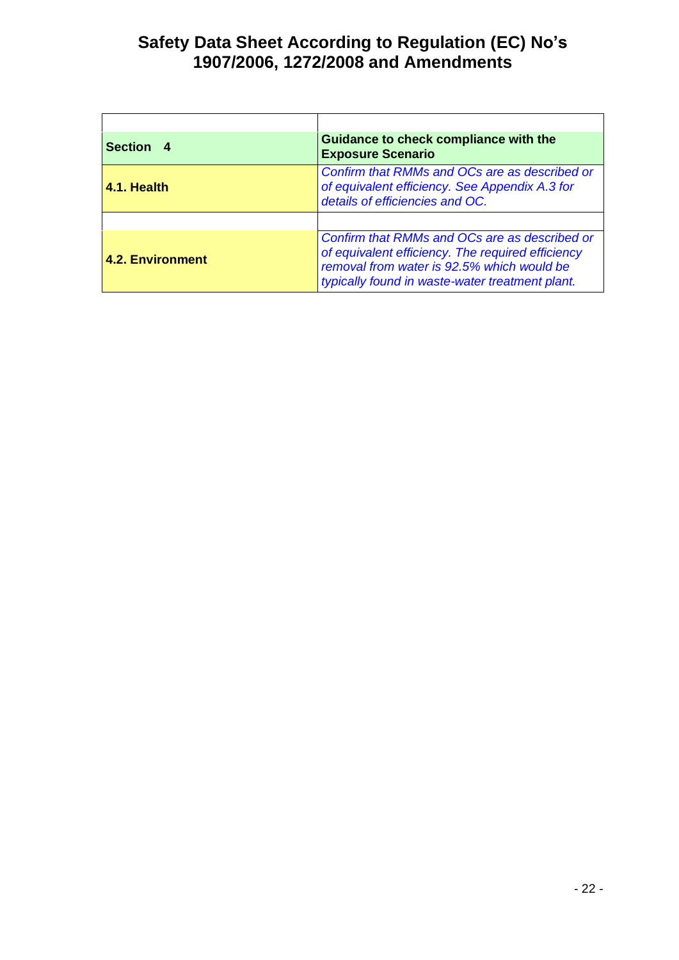| Section 4        | Guidance to check compliance with the<br><b>Exposure Scenario</b>                                                                                                                                   |  |  |  |
|------------------|-----------------------------------------------------------------------------------------------------------------------------------------------------------------------------------------------------|--|--|--|
| 4.1. Health      | Confirm that RMMs and OCs are as described or<br>of equivalent efficiency. See Appendix A.3 for<br>details of efficiencies and OC.                                                                  |  |  |  |
|                  |                                                                                                                                                                                                     |  |  |  |
| 4.2. Environment | Confirm that RMMs and OCs are as described or<br>of equivalent efficiency. The required efficiency<br>removal from water is 92.5% which would be<br>typically found in waste-water treatment plant. |  |  |  |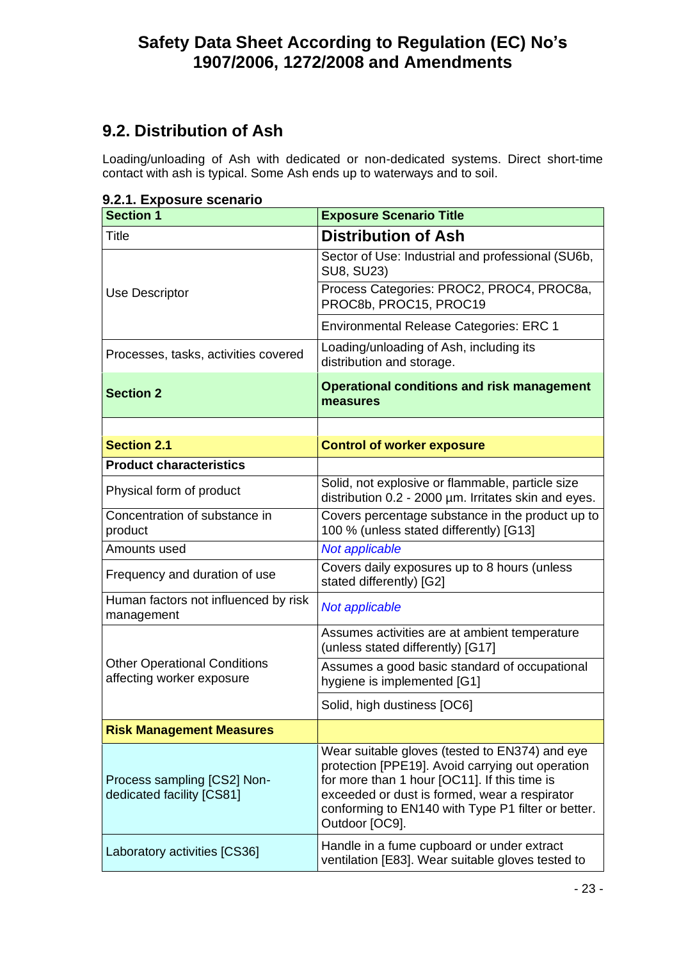# **9.2. Distribution of Ash**

Loading/unloading of Ash with dedicated or non-dedicated systems. Direct short-time contact with ash is typical. Some Ash ends up to waterways and to soil.

| .2. LAPOSUI C SOCIIQI I                                          |                                                                                                                                                                                                                                                                             |  |  |
|------------------------------------------------------------------|-----------------------------------------------------------------------------------------------------------------------------------------------------------------------------------------------------------------------------------------------------------------------------|--|--|
| <b>Section 1</b>                                                 | <b>Exposure Scenario Title</b>                                                                                                                                                                                                                                              |  |  |
| Title                                                            | <b>Distribution of Ash</b>                                                                                                                                                                                                                                                  |  |  |
| Use Descriptor                                                   | Sector of Use: Industrial and professional (SU6b,<br><b>SU8, SU23)</b>                                                                                                                                                                                                      |  |  |
|                                                                  | Process Categories: PROC2, PROC4, PROC8a,<br>PROC8b, PROC15, PROC19                                                                                                                                                                                                         |  |  |
|                                                                  | <b>Environmental Release Categories: ERC 1</b>                                                                                                                                                                                                                              |  |  |
| Processes, tasks, activities covered                             | Loading/unloading of Ash, including its<br>distribution and storage.                                                                                                                                                                                                        |  |  |
| <b>Section 2</b>                                                 | <b>Operational conditions and risk management</b><br>measures                                                                                                                                                                                                               |  |  |
|                                                                  |                                                                                                                                                                                                                                                                             |  |  |
| <b>Section 2.1</b>                                               | <b>Control of worker exposure</b>                                                                                                                                                                                                                                           |  |  |
| <b>Product characteristics</b>                                   |                                                                                                                                                                                                                                                                             |  |  |
| Physical form of product                                         | Solid, not explosive or flammable, particle size<br>distribution 0.2 - 2000 µm. Irritates skin and eyes.                                                                                                                                                                    |  |  |
| Concentration of substance in<br>product                         | Covers percentage substance in the product up to<br>100 % (unless stated differently) [G13]                                                                                                                                                                                 |  |  |
| Amounts used                                                     | Not applicable                                                                                                                                                                                                                                                              |  |  |
| Frequency and duration of use                                    | Covers daily exposures up to 8 hours (unless<br>stated differently) [G2]                                                                                                                                                                                                    |  |  |
| Human factors not influenced by risk<br>management               | Not applicable                                                                                                                                                                                                                                                              |  |  |
| <b>Other Operational Conditions</b><br>affecting worker exposure | Assumes activities are at ambient temperature<br>(unless stated differently) [G17]                                                                                                                                                                                          |  |  |
|                                                                  | Assumes a good basic standard of occupational<br>hygiene is implemented [G1]                                                                                                                                                                                                |  |  |
|                                                                  | Solid, high dustiness [OC6]                                                                                                                                                                                                                                                 |  |  |
| <b>Risk Management Measures</b>                                  |                                                                                                                                                                                                                                                                             |  |  |
| Process sampling [CS2] Non-<br>dedicated facility [CS81]         | Wear suitable gloves (tested to EN374) and eye<br>protection [PPE19]. Avoid carrying out operation<br>for more than 1 hour [OC11]. If this time is<br>exceeded or dust is formed, wear a respirator<br>conforming to EN140 with Type P1 filter or better.<br>Outdoor [OC9]. |  |  |
| Laboratory activities [CS36]                                     | Handle in a fume cupboard or under extract<br>ventilation [E83]. Wear suitable gloves tested to                                                                                                                                                                             |  |  |

**9.2.1. Exposure scenario**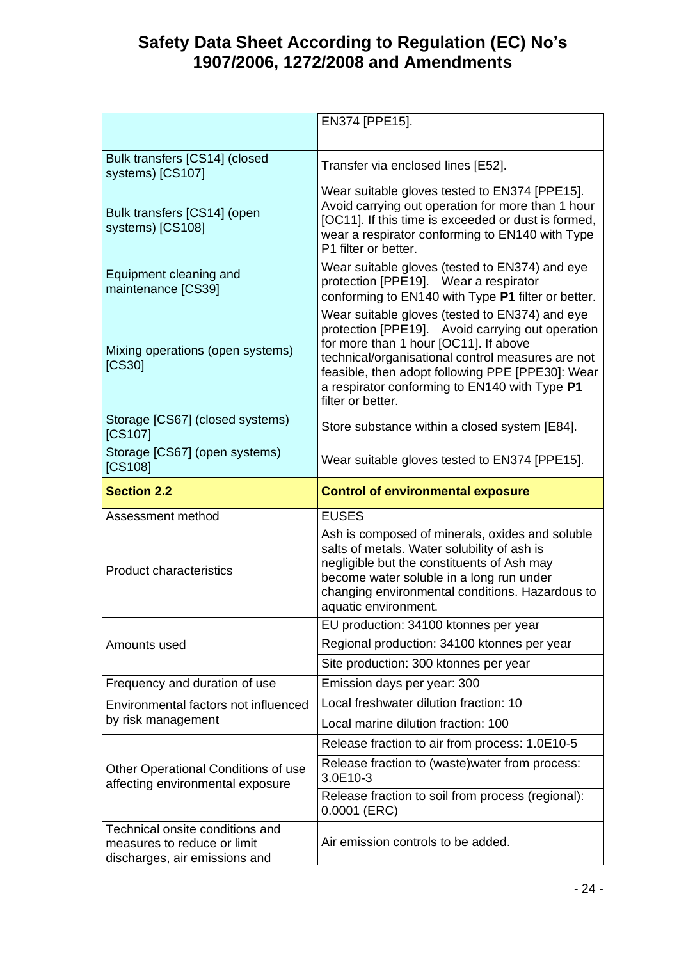|                                                   | EN374 [PPE15].                                                                                                                                                                                                                                                                                                             |  |  |
|---------------------------------------------------|----------------------------------------------------------------------------------------------------------------------------------------------------------------------------------------------------------------------------------------------------------------------------------------------------------------------------|--|--|
| Bulk transfers [CS14] (closed<br>systems) [CS107] | Transfer via enclosed lines [E52].                                                                                                                                                                                                                                                                                         |  |  |
| Bulk transfers [CS14] (open<br>systems) [CS108]   | Wear suitable gloves tested to EN374 [PPE15].<br>Avoid carrying out operation for more than 1 hour<br>[OC11]. If this time is exceeded or dust is formed,<br>wear a respirator conforming to EN140 with Type<br>P1 filter or better.                                                                                       |  |  |
| Equipment cleaning and<br>maintenance [CS39]      | Wear suitable gloves (tested to EN374) and eye<br>protection [PPE19]. Wear a respirator<br>conforming to EN140 with Type P1 filter or better.                                                                                                                                                                              |  |  |
| Mixing operations (open systems)<br>[CS30]        | Wear suitable gloves (tested to EN374) and eye<br>protection [PPE19]. Avoid carrying out operation<br>for more than 1 hour [OC11]. If above<br>technical/organisational control measures are not<br>feasible, then adopt following PPE [PPE30]: Wear<br>a respirator conforming to EN140 with Type P1<br>filter or better. |  |  |
| Storage [CS67] (closed systems)<br>[CS107]        | Store substance within a closed system [E84].                                                                                                                                                                                                                                                                              |  |  |
| Storage [CS67] (open systems)<br>[CS108]          | Wear suitable gloves tested to EN374 [PPE15].                                                                                                                                                                                                                                                                              |  |  |
| <b>Section 2.2</b>                                | <b>Control of environmental exposure</b>                                                                                                                                                                                                                                                                                   |  |  |
|                                                   |                                                                                                                                                                                                                                                                                                                            |  |  |
| Assessment method                                 | <b>EUSES</b>                                                                                                                                                                                                                                                                                                               |  |  |
| <b>Product characteristics</b>                    | Ash is composed of minerals, oxides and soluble<br>salts of metals. Water solubility of ash is<br>negligible but the constituents of Ash may<br>become water soluble in a long run under<br>changing environmental conditions. Hazardous to<br>aquatic environment.                                                        |  |  |
|                                                   | EU production: 34100 ktonnes per year                                                                                                                                                                                                                                                                                      |  |  |
| Amounts used                                      | Regional production: 34100 ktonnes per year                                                                                                                                                                                                                                                                                |  |  |
|                                                   | Site production: 300 ktonnes per year                                                                                                                                                                                                                                                                                      |  |  |
| Frequency and duration of use                     | Emission days per year: 300                                                                                                                                                                                                                                                                                                |  |  |
| Environmental factors not influenced              | Local freshwater dilution fraction: 10                                                                                                                                                                                                                                                                                     |  |  |
| by risk management                                | Local marine dilution fraction: 100                                                                                                                                                                                                                                                                                        |  |  |
|                                                   | Release fraction to air from process: 1.0E10-5                                                                                                                                                                                                                                                                             |  |  |
| Other Operational Conditions of use               | Release fraction to (waste) water from process:<br>3.0E10-3                                                                                                                                                                                                                                                                |  |  |
| affecting environmental exposure                  | Release fraction to soil from process (regional):<br>0.0001 (ERC)                                                                                                                                                                                                                                                          |  |  |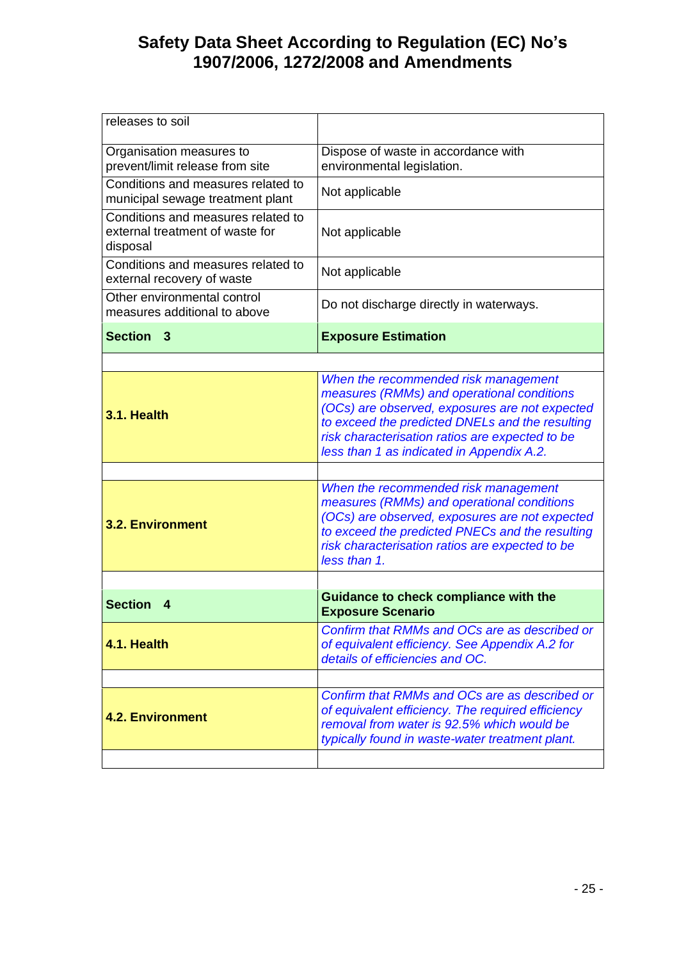| releases to soil                                                                  |                                                                                                                                                                                                                                                                                         |  |
|-----------------------------------------------------------------------------------|-----------------------------------------------------------------------------------------------------------------------------------------------------------------------------------------------------------------------------------------------------------------------------------------|--|
| Organisation measures to<br>prevent/limit release from site                       | Dispose of waste in accordance with<br>environmental legislation.                                                                                                                                                                                                                       |  |
| Conditions and measures related to<br>municipal sewage treatment plant            | Not applicable                                                                                                                                                                                                                                                                          |  |
| Conditions and measures related to<br>external treatment of waste for<br>disposal | Not applicable                                                                                                                                                                                                                                                                          |  |
| Conditions and measures related to<br>external recovery of waste                  | Not applicable                                                                                                                                                                                                                                                                          |  |
| Other environmental control<br>measures additional to above                       | Do not discharge directly in waterways.                                                                                                                                                                                                                                                 |  |
| Section 3                                                                         | <b>Exposure Estimation</b>                                                                                                                                                                                                                                                              |  |
|                                                                                   |                                                                                                                                                                                                                                                                                         |  |
| 3.1. Health                                                                       | When the recommended risk management<br>measures (RMMs) and operational conditions<br>(OCs) are observed, exposures are not expected<br>to exceed the predicted DNELs and the resulting<br>risk characterisation ratios are expected to be<br>less than 1 as indicated in Appendix A.2. |  |
|                                                                                   |                                                                                                                                                                                                                                                                                         |  |
| 3.2. Environment                                                                  | When the recommended risk management<br>measures (RMMs) and operational conditions<br>(OCs) are observed, exposures are not expected<br>to exceed the predicted PNECs and the resulting<br>risk characterisation ratios are expected to be<br>less than 1.                              |  |
|                                                                                   |                                                                                                                                                                                                                                                                                         |  |
| <b>Section</b><br>4                                                               | <b>Guidance to check compliance with the</b><br><b>Exposure Scenario</b>                                                                                                                                                                                                                |  |
| 4.1. Health                                                                       | Confirm that RMMs and OCs are as described or<br>of equivalent efficiency. See Appendix A.2 for<br>details of efficiencies and OC.                                                                                                                                                      |  |
|                                                                                   |                                                                                                                                                                                                                                                                                         |  |
| <b>4.2. Environment</b>                                                           | Confirm that RMMs and OCs are as described or<br>of equivalent efficiency. The required efficiency<br>removal from water is 92.5% which would be<br>typically found in waste-water treatment plant.                                                                                     |  |
|                                                                                   |                                                                                                                                                                                                                                                                                         |  |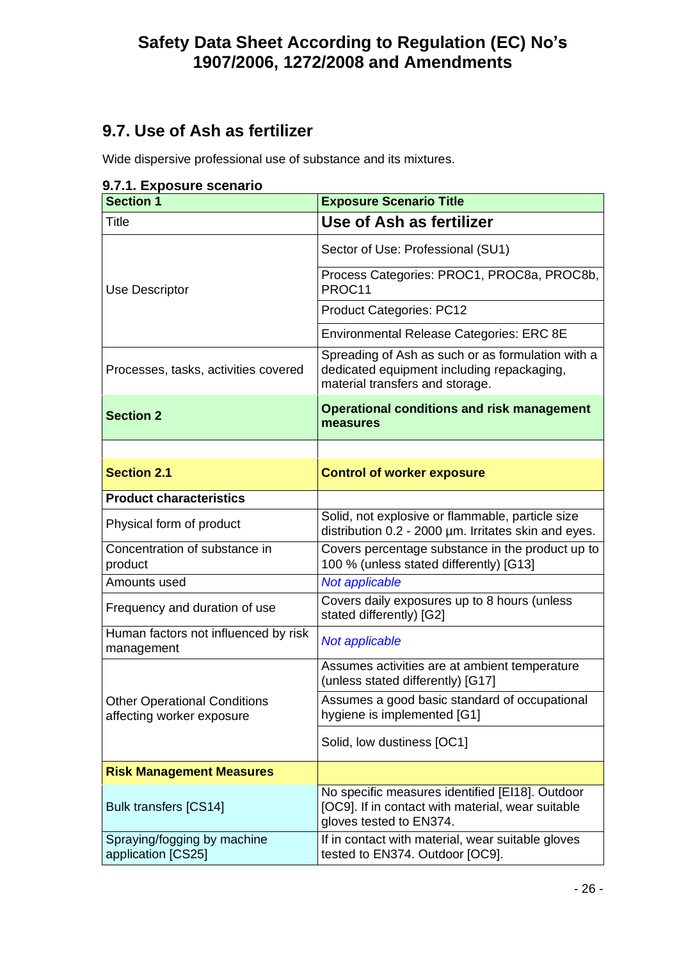# **9.7. Use of Ash as fertilizer**

Wide dispersive professional use of substance and its mixtures.

| 9.7.1. Exposure sechano<br><b>Section 1</b>                      | <b>Exposure Scenario Title</b>                                                                                                     |  |  |
|------------------------------------------------------------------|------------------------------------------------------------------------------------------------------------------------------------|--|--|
| Title                                                            | Use of Ash as fertilizer                                                                                                           |  |  |
|                                                                  | Sector of Use: Professional (SU1)                                                                                                  |  |  |
| Use Descriptor                                                   | Process Categories: PROC1, PROC8a, PROC8b,<br>PROC11                                                                               |  |  |
|                                                                  | <b>Product Categories: PC12</b>                                                                                                    |  |  |
|                                                                  | <b>Environmental Release Categories: ERC 8E</b>                                                                                    |  |  |
| Processes, tasks, activities covered                             | Spreading of Ash as such or as formulation with a<br>dedicated equipment including repackaging,<br>material transfers and storage. |  |  |
| <b>Section 2</b>                                                 | <b>Operational conditions and risk management</b><br>measures                                                                      |  |  |
|                                                                  |                                                                                                                                    |  |  |
| <b>Section 2.1</b>                                               | <b>Control of worker exposure</b>                                                                                                  |  |  |
| <b>Product characteristics</b>                                   |                                                                                                                                    |  |  |
| Physical form of product                                         | Solid, not explosive or flammable, particle size<br>distribution 0.2 - 2000 um. Irritates skin and eyes.                           |  |  |
| Concentration of substance in<br>product                         | Covers percentage substance in the product up to<br>100 % (unless stated differently) [G13]                                        |  |  |
| Amounts used                                                     | Not applicable                                                                                                                     |  |  |
| Frequency and duration of use                                    | Covers daily exposures up to 8 hours (unless<br>stated differently) [G2]                                                           |  |  |
| Human factors not influenced by risk<br>management               | Not applicable                                                                                                                     |  |  |
|                                                                  | Assumes activities are at ambient temperature<br>(unless stated differently) [G17]                                                 |  |  |
| <b>Other Operational Conditions</b><br>affecting worker exposure | Assumes a good basic standard of occupational<br>hygiene is implemented [G1]                                                       |  |  |
|                                                                  | Solid, low dustiness [OC1]                                                                                                         |  |  |
| <b>Risk Management Measures</b>                                  |                                                                                                                                    |  |  |
| <b>Bulk transfers [CS14]</b>                                     | No specific measures identified [EI18]. Outdoor<br>[OC9]. If in contact with material, wear suitable<br>gloves tested to EN374.    |  |  |
| Spraying/fogging by machine<br>application [CS25]                | If in contact with material, wear suitable gloves<br>tested to EN374. Outdoor [OC9].                                               |  |  |

## **9.7.1. Exposure scenario**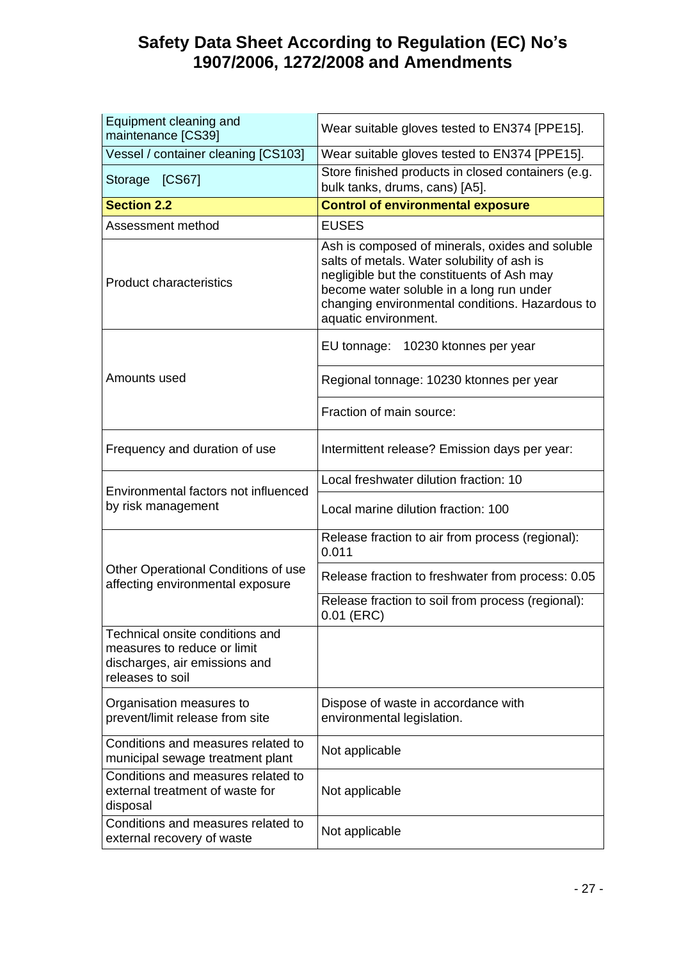| Equipment cleaning and<br>maintenance [CS39]                                                                        | Wear suitable gloves tested to EN374 [PPE15].                                                                                                                                                                                                                       |
|---------------------------------------------------------------------------------------------------------------------|---------------------------------------------------------------------------------------------------------------------------------------------------------------------------------------------------------------------------------------------------------------------|
| Vessel / container cleaning [CS103]                                                                                 | Wear suitable gloves tested to EN374 [PPE15].                                                                                                                                                                                                                       |
| Storage [CS67]                                                                                                      | Store finished products in closed containers (e.g.<br>bulk tanks, drums, cans) [A5].                                                                                                                                                                                |
| <b>Section 2.2</b>                                                                                                  | <b>Control of environmental exposure</b>                                                                                                                                                                                                                            |
| Assessment method                                                                                                   | <b>EUSES</b>                                                                                                                                                                                                                                                        |
| <b>Product characteristics</b>                                                                                      | Ash is composed of minerals, oxides and soluble<br>salts of metals. Water solubility of ash is<br>negligible but the constituents of Ash may<br>become water soluble in a long run under<br>changing environmental conditions. Hazardous to<br>aquatic environment. |
|                                                                                                                     | EU tonnage: 10230 ktonnes per year                                                                                                                                                                                                                                  |
| Amounts used                                                                                                        | Regional tonnage: 10230 ktonnes per year                                                                                                                                                                                                                            |
|                                                                                                                     | Fraction of main source:                                                                                                                                                                                                                                            |
| Frequency and duration of use                                                                                       | Intermittent release? Emission days per year:                                                                                                                                                                                                                       |
|                                                                                                                     | Local freshwater dilution fraction: 10                                                                                                                                                                                                                              |
| Environmental factors not influenced<br>by risk management                                                          | Local marine dilution fraction: 100                                                                                                                                                                                                                                 |
|                                                                                                                     | Release fraction to air from process (regional):<br>0.011                                                                                                                                                                                                           |
| Other Operational Conditions of use<br>affecting environmental exposure                                             | Release fraction to freshwater from process: 0.05                                                                                                                                                                                                                   |
|                                                                                                                     | Release fraction to soil from process (regional):<br>$0.01$ (ERC)                                                                                                                                                                                                   |
| Technical onsite conditions and<br>measures to reduce or limit<br>discharges, air emissions and<br>releases to soil |                                                                                                                                                                                                                                                                     |
| Organisation measures to<br>prevent/limit release from site                                                         | Dispose of waste in accordance with<br>environmental legislation.                                                                                                                                                                                                   |
| Conditions and measures related to<br>municipal sewage treatment plant                                              | Not applicable                                                                                                                                                                                                                                                      |
| Conditions and measures related to<br>external treatment of waste for<br>disposal                                   | Not applicable                                                                                                                                                                                                                                                      |
| Conditions and measures related to<br>external recovery of waste                                                    | Not applicable                                                                                                                                                                                                                                                      |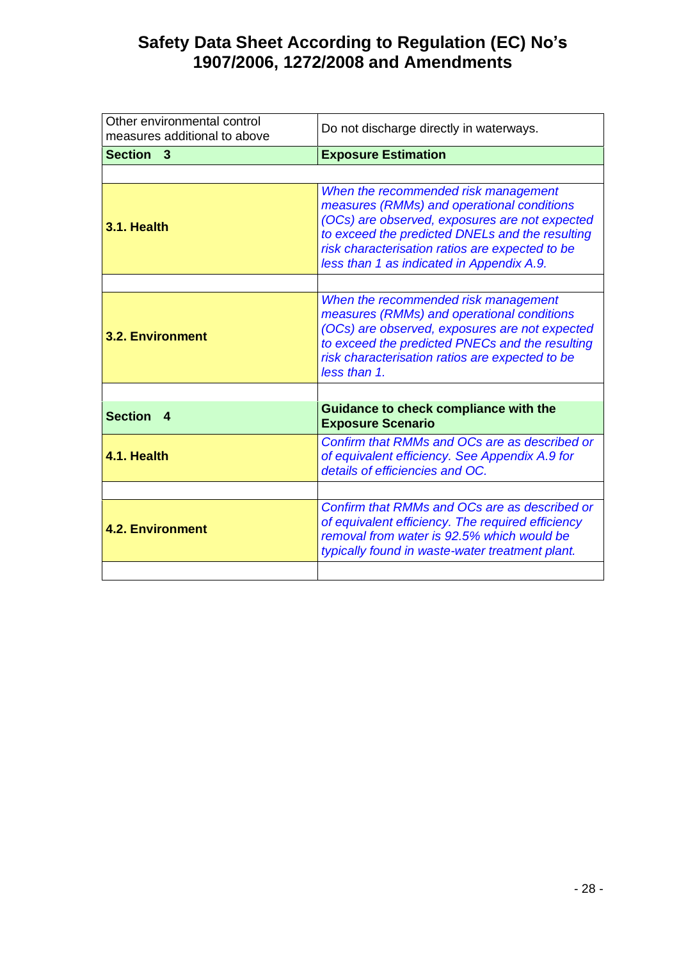| Other environmental control<br>measures additional to above | Do not discharge directly in waterways.                                                                                                                                                                                                                                                 |
|-------------------------------------------------------------|-----------------------------------------------------------------------------------------------------------------------------------------------------------------------------------------------------------------------------------------------------------------------------------------|
| Section 3                                                   | <b>Exposure Estimation</b>                                                                                                                                                                                                                                                              |
|                                                             |                                                                                                                                                                                                                                                                                         |
| 3.1. Health                                                 | When the recommended risk management<br>measures (RMMs) and operational conditions<br>(OCs) are observed, exposures are not expected<br>to exceed the predicted DNELs and the resulting<br>risk characterisation ratios are expected to be<br>less than 1 as indicated in Appendix A.9. |
|                                                             |                                                                                                                                                                                                                                                                                         |
| 3.2. Environment                                            | When the recommended risk management<br>measures (RMMs) and operational conditions<br>(OCs) are observed, exposures are not expected<br>to exceed the predicted PNECs and the resulting<br>risk characterisation ratios are expected to be<br>less than 1.                              |
|                                                             |                                                                                                                                                                                                                                                                                         |
| Section 4                                                   | Guidance to check compliance with the<br><b>Exposure Scenario</b>                                                                                                                                                                                                                       |
| 4.1. Health                                                 | Confirm that RMMs and OCs are as described or<br>of equivalent efficiency. See Appendix A.9 for<br>details of efficiencies and OC.                                                                                                                                                      |
|                                                             |                                                                                                                                                                                                                                                                                         |
| <b>4.2. Environment</b>                                     | Confirm that RMMs and OCs are as described or<br>of equivalent efficiency. The required efficiency<br>removal from water is 92.5% which would be<br>typically found in waste-water treatment plant.                                                                                     |
|                                                             |                                                                                                                                                                                                                                                                                         |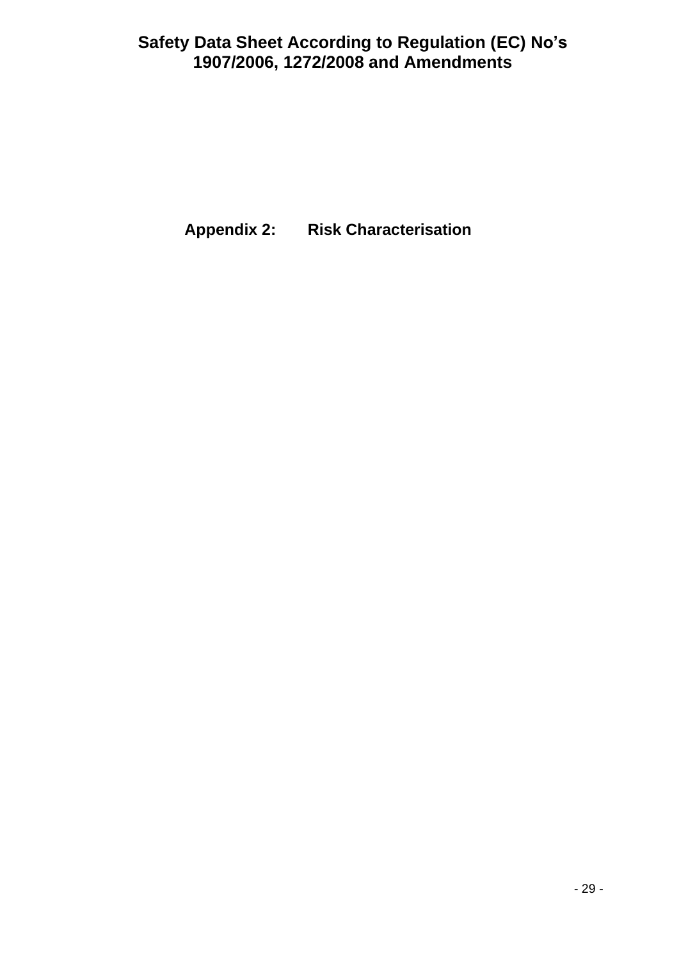**Appendix 2: Risk Characterisation**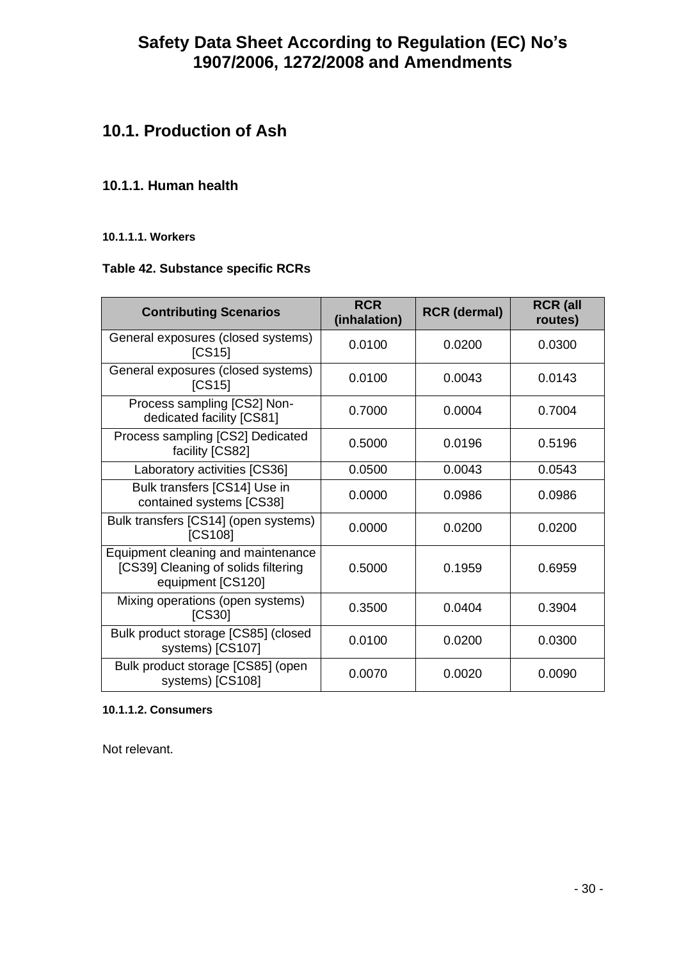# **10.1. Production of Ash**

# **10.1.1. Human health**

### **10.1.1.1. Workers**

## **Table 42. Substance specific RCRs**

| <b>Contributing Scenarios</b>                                                                  | <b>RCR</b><br>(inhalation) | <b>RCR</b> (dermal) | <b>RCR</b> (all<br>routes) |  |
|------------------------------------------------------------------------------------------------|----------------------------|---------------------|----------------------------|--|
| General exposures (closed systems)<br>[CS15]                                                   | 0.0100                     | 0.0200              | 0.0300                     |  |
| General exposures (closed systems)<br>[CS15]                                                   | 0.0100                     | 0.0043              | 0.0143                     |  |
| Process sampling [CS2] Non-<br>dedicated facility [CS81]                                       | 0.7000                     | 0.0004              | 0.7004                     |  |
| Process sampling [CS2] Dedicated<br>facility [CS82]                                            | 0.5000                     | 0.0196              | 0.5196                     |  |
| Laboratory activities [CS36]                                                                   | 0.0500                     | 0.0043              | 0.0543                     |  |
| Bulk transfers [CS14] Use in<br>contained systems [CS38]                                       | 0.0000                     | 0.0986              | 0.0986                     |  |
| Bulk transfers [CS14] (open systems)<br>[CS108]                                                | 0.0000                     | 0.0200              | 0.0200                     |  |
| Equipment cleaning and maintenance<br>[CS39] Cleaning of solids filtering<br>equipment [CS120] | 0.5000                     | 0.1959              | 0.6959                     |  |
| Mixing operations (open systems)<br><b>[CS30]</b>                                              | 0.3500                     | 0.0404              | 0.3904                     |  |
| Bulk product storage [CS85] (closed<br>systems) [CS107]                                        | 0.0100                     | 0.0200              | 0.0300                     |  |
| Bulk product storage [CS85] (open<br>systems) [CS108]                                          | 0.0070                     | 0.0020              | 0.0090                     |  |

#### **10.1.1.2. Consumers**

Not relevant.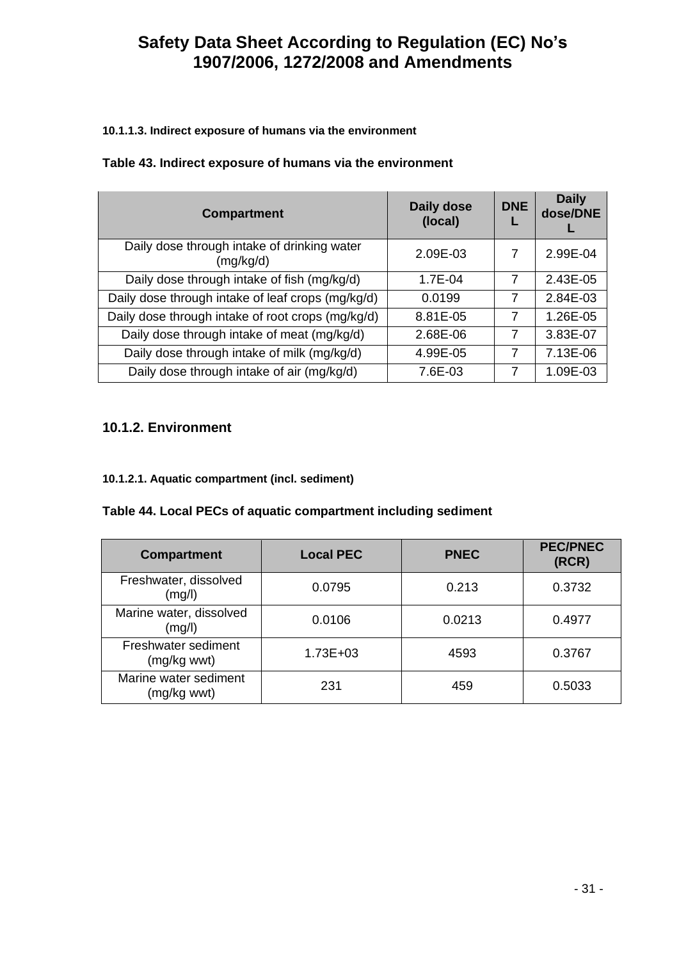### **10.1.1.3. Indirect exposure of humans via the environment**

## **Table 43. Indirect exposure of humans via the environment**

| <b>Compartment</b>                                       | Daily dose<br>(local) | <b>DNE</b> | <b>Daily</b><br>dose/DNE |
|----------------------------------------------------------|-----------------------|------------|--------------------------|
| Daily dose through intake of drinking water<br>(mg/kg/d) | 2.09E-03              | 7          | 2.99E-04                 |
| Daily dose through intake of fish (mg/kg/d)              | $1.7E - 04$           | 7          | 2.43E-05                 |
| Daily dose through intake of leaf crops (mg/kg/d)        | 0.0199                | 7          | 2.84E-03                 |
| Daily dose through intake of root crops (mg/kg/d)        | 8.81E-05              | 7          | 1.26E-05                 |
| Daily dose through intake of meat (mg/kg/d)              | 2.68E-06              | 7          | 3.83E-07                 |
| Daily dose through intake of milk (mg/kg/d)              | 4.99E-05              | 7          | 7.13E-06                 |
| Daily dose through intake of air (mg/kg/d)               | 7.6E-03               | 7          | 1.09E-03                 |

# **10.1.2. Environment**

### **10.1.2.1. Aquatic compartment (incl. sediment)**

### **Table 44. Local PECs of aquatic compartment including sediment**

| <b>Compartment</b>                   | <b>Local PEC</b> | <b>PNEC</b> | <b>PEC/PNEC</b><br>(RCR) |
|--------------------------------------|------------------|-------------|--------------------------|
| Freshwater, dissolved<br>(mg/l)      | 0.0795           | 0.213       | 0.3732                   |
| Marine water, dissolved<br>(mg/l)    | 0.0106           | 0.0213      | 0.4977                   |
| Freshwater sediment<br>(mg/kg wwt)   | 1.73E+03         | 4593        | 0.3767                   |
| Marine water sediment<br>(mg/kg wwt) | 231              | 459         | 0.5033                   |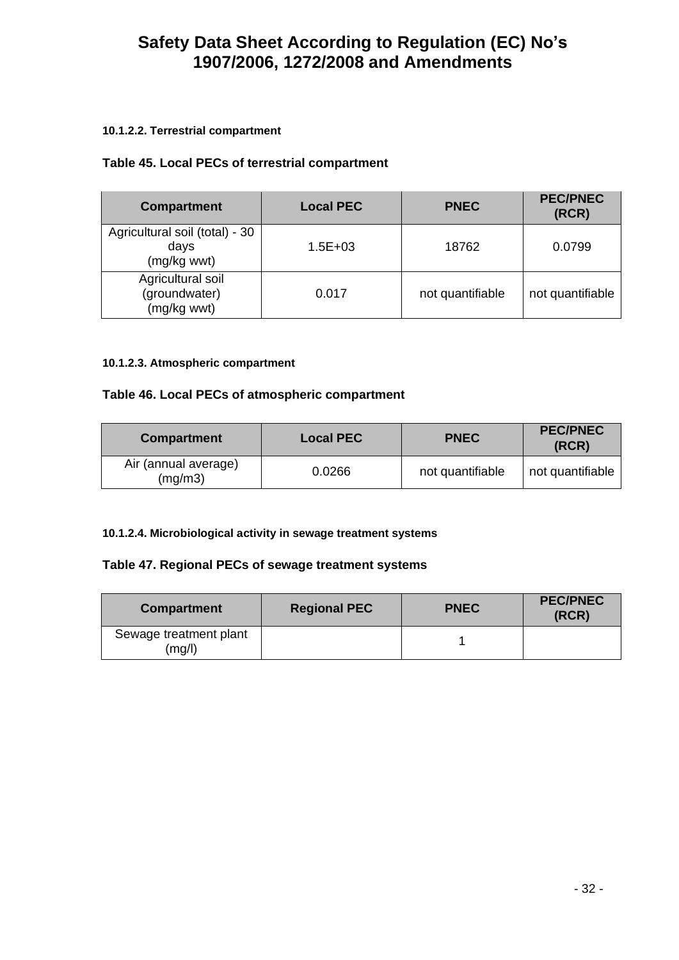### **10.1.2.2. Terrestrial compartment**

## **Table 45. Local PECs of terrestrial compartment**

| <b>Compartment</b>                                    | <b>Local PEC</b> | <b>PNEC</b>      | <b>PEC/PNEC</b><br>(RCR) |
|-------------------------------------------------------|------------------|------------------|--------------------------|
| Agricultural soil (total) - 30<br>days<br>(mg/kg wwt) | $1.5E + 03$      | 18762            | 0.0799                   |
| Agricultural soil<br>(groundwater)<br>(mg/kg wwt)     | 0.017            | not quantifiable | not quantifiable         |

#### **10.1.2.3. Atmospheric compartment**

### **Table 46. Local PECs of atmospheric compartment**

| <b>Compartment</b>              | <b>Local PEC</b> | <b>PNEC</b>      | <b>PEC/PNEC</b><br>(RCR) |
|---------------------------------|------------------|------------------|--------------------------|
| Air (annual average)<br>(mq/m3) | 0.0266           | not quantifiable | not quantifiable         |

#### **10.1.2.4. Microbiological activity in sewage treatment systems**

### **Table 47. Regional PECs of sewage treatment systems**

| <b>Compartment</b>               | <b>Regional PEC</b> | <b>PNEC</b> | <b>PEC/PNEC</b><br>(RCR) |
|----------------------------------|---------------------|-------------|--------------------------|
| Sewage treatment plant<br>(mg/l) |                     |             |                          |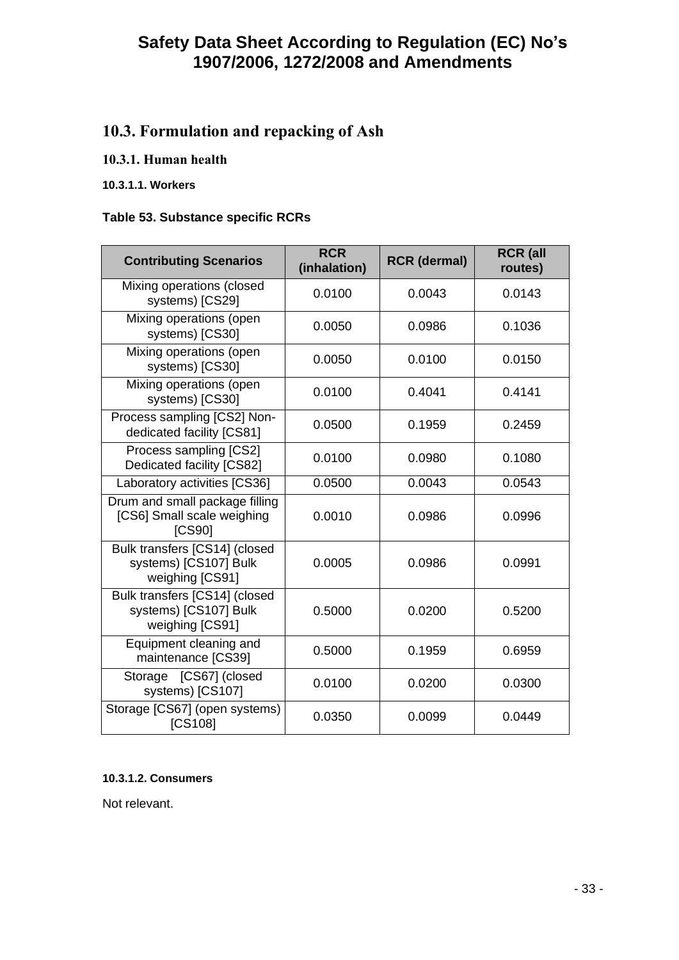# **10.3. Formulation and repacking of Ash**

# **10.3.1. Human health**

### **10.3.1.1. Workers**

## **Table 53. Substance specific RCRs**

| <b>Contributing Scenarios</b>                                             | <b>RCR</b><br>(inhalation) | <b>RCR</b> (dermal) | <b>RCR</b> (all<br>routes) |
|---------------------------------------------------------------------------|----------------------------|---------------------|----------------------------|
| Mixing operations (closed<br>systems) [CS29]                              | 0.0100                     | 0.0043              | 0.0143                     |
| Mixing operations (open<br>systems) [CS30]                                | 0.0050                     | 0.0986              | 0.1036                     |
| Mixing operations (open<br>systems) [CS30]                                | 0.0050                     | 0.0100              | 0.0150                     |
| Mixing operations (open<br>systems) [CS30]                                | 0.0100                     | 0.4041              | 0.4141                     |
| Process sampling [CS2] Non-<br>dedicated facility [CS81]                  | 0.0500                     | 0.1959              | 0.2459                     |
| Process sampling [CS2]<br>Dedicated facility [CS82]                       | 0.0100                     | 0.0980              | 0.1080                     |
| Laboratory activities [CS36]                                              | 0.0500                     | 0.0043              | 0.0543                     |
| Drum and small package filling<br>[CS6] Small scale weighing<br>[CS90]    | 0.0010                     | 0.0986              | 0.0996                     |
| Bulk transfers [CS14] (closed<br>systems) [CS107] Bulk<br>weighing [CS91] | 0.0005                     | 0.0986              | 0.0991                     |
| Bulk transfers [CS14] (closed<br>systems) [CS107] Bulk<br>weighing [CS91] | 0.5000                     | 0.0200              | 0.5200                     |
| Equipment cleaning and<br>maintenance [CS39]                              | 0.5000                     | 0.1959              | 0.6959                     |
| [CS67] (closed<br>Storage<br>systems) [CS107]                             | 0.0100                     | 0.0200              | 0.0300                     |
| Storage [CS67] (open systems)<br><b>[CS108]</b>                           | 0.0350                     | 0.0099              | 0.0449                     |

### **10.3.1.2. Consumers**

Not relevant.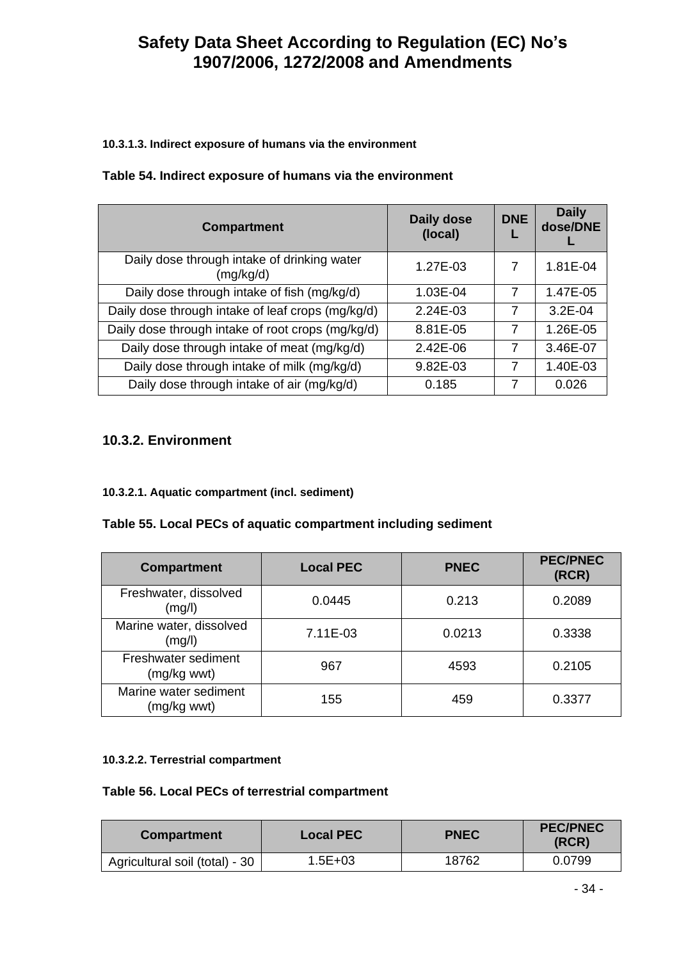### **10.3.1.3. Indirect exposure of humans via the environment**

| <b>Compartment</b>                                       | Daily dose<br>(local) | <b>DNE</b> | <b>Daily</b><br>dose/DNE |
|----------------------------------------------------------|-----------------------|------------|--------------------------|
| Daily dose through intake of drinking water<br>(mg/kg/d) | 1.27E-03              | 7          | 1.81E-04                 |
| Daily dose through intake of fish (mg/kg/d)              | $1.03E - 04$          | 7          | 1.47E-05                 |
| Daily dose through intake of leaf crops (mg/kg/d)        | 2.24E-03              | 7          | $3.2E - 04$              |
| Daily dose through intake of root crops (mg/kg/d)        | 8.81E-05              | 7          | 1.26E-05                 |
| Daily dose through intake of meat (mg/kg/d)              | 2.42E-06              | 7          | 3.46E-07                 |
| Daily dose through intake of milk (mg/kg/d)              | 9.82E-03              | 7          | 1.40E-03                 |
| Daily dose through intake of air (mg/kg/d)               | 0.185                 | 7          | 0.026                    |

## **Table 54. Indirect exposure of humans via the environment**

# **10.3.2. Environment**

# **10.3.2.1. Aquatic compartment (incl. sediment)**

# **Table 55. Local PECs of aquatic compartment including sediment**

| <b>Compartment</b>                   | <b>Local PEC</b> | <b>PNEC</b> | <b>PEC/PNEC</b><br>(RCR) |
|--------------------------------------|------------------|-------------|--------------------------|
| Freshwater, dissolved<br>(mg/l)      | 0.0445           | 0.213       | 0.2089                   |
| Marine water, dissolved<br>(mg/l)    | 7.11E-03         | 0.0213      | 0.3338                   |
| Freshwater sediment<br>(mg/kg wwt)   | 967              | 4593        | 0.2105                   |
| Marine water sediment<br>(mg/kg wwt) | 155              | 459         | 0.3377                   |

### **10.3.2.2. Terrestrial compartment**

### **Table 56. Local PECs of terrestrial compartment**

| <b>Compartment</b>             | <b>Local PEC</b> | <b>PNEC</b> | <b>PEC/PNEC</b><br>(RCR) |
|--------------------------------|------------------|-------------|--------------------------|
| Agricultural soil (total) - 30 | $1.5E + 03$      | 18762       | 0.0799                   |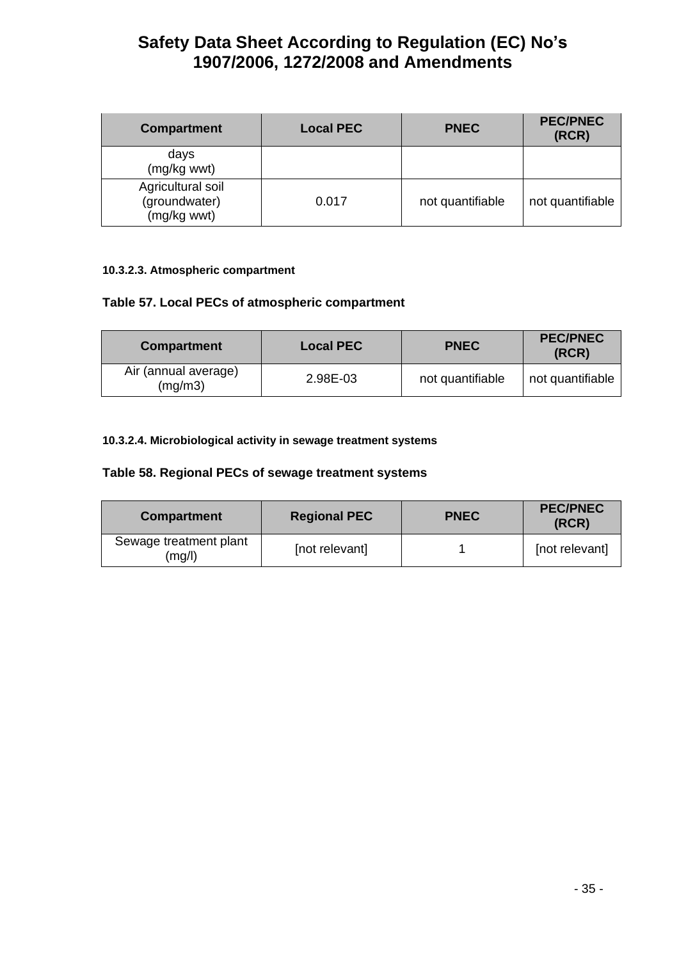| <b>Compartment</b>                                | <b>Local PEC</b> | <b>PNEC</b>      | <b>PEC/PNEC</b><br>(RCR) |
|---------------------------------------------------|------------------|------------------|--------------------------|
| days<br>(mg/kg wwt)                               |                  |                  |                          |
| Agricultural soil<br>(groundwater)<br>(mg/kg wwt) | 0.017            | not quantifiable | not quantifiable         |

#### **10.3.2.3. Atmospheric compartment**

# **Table 57. Local PECs of atmospheric compartment**

| <b>Compartment</b>              | <b>Local PEC</b> | <b>PNEC</b>      | <b>PEC/PNEC</b><br>(RCR) |
|---------------------------------|------------------|------------------|--------------------------|
| Air (annual average)<br>(mq/m3) | 2.98E-03         | not quantifiable | not quantifiable         |

### **10.3.2.4. Microbiological activity in sewage treatment systems**

### **Table 58. Regional PECs of sewage treatment systems**

| <b>Compartment</b>               | <b>Regional PEC</b> | <b>PNEC</b> | <b>PEC/PNEC</b><br>(RCR) |
|----------------------------------|---------------------|-------------|--------------------------|
| Sewage treatment plant<br>(mq/l) | [not relevant]      |             | [not relevant]           |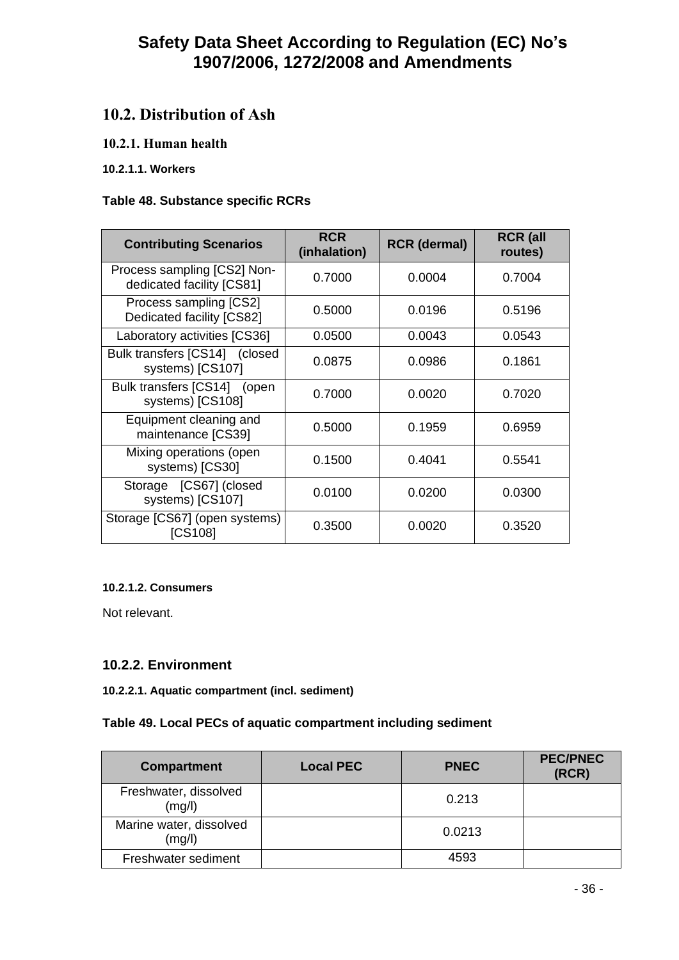# **10.2. Distribution of Ash**

## **10.2.1. Human health**

### **10.2.1.1. Workers**

### **Table 48. Substance specific RCRs**

| <b>Contributing Scenarios</b>                            | <b>RCR</b><br>(inhalation) | <b>RCR</b> (dermal) | <b>RCR</b> (all<br>routes) |
|----------------------------------------------------------|----------------------------|---------------------|----------------------------|
| Process sampling [CS2] Non-<br>dedicated facility [CS81] | 0.7000                     | 0.0004              | 0.7004                     |
| Process sampling [CS2]<br>Dedicated facility [CS82]      | 0.5000                     | 0.0196              | 0.5196                     |
| Laboratory activities [CS36]                             | 0.0500                     | 0.0043              | 0.0543                     |
| Bulk transfers [CS14] (closed<br>systems) [CS107]        | 0.0875                     | 0.0986              | 0.1861                     |
| Bulk transfers [CS14] (open<br>systems) [CS108]          | 0.7000                     | 0.0020              | 0.7020                     |
| Equipment cleaning and<br>maintenance [CS39]             | 0.5000                     | 0.1959              | 0.6959                     |
| Mixing operations (open<br>systems) [CS30]               | 0.1500                     | 0.4041              | 0.5541                     |
| Storage [CS67] (closed<br>systems) [CS107]               | 0.0100                     | 0.0200              | 0.0300                     |
| Storage [CS67] (open systems)<br><b>[CS108]</b>          | 0.3500                     | 0.0020              | 0.3520                     |

#### **10.2.1.2. Consumers**

Not relevant.

# **10.2.2. Environment**

**10.2.2.1. Aquatic compartment (incl. sediment)**

### **Table 49. Local PECs of aquatic compartment including sediment**

| <b>Compartment</b>                | <b>Local PEC</b> | <b>PNEC</b> | <b>PEC/PNEC</b><br>(RCR) |
|-----------------------------------|------------------|-------------|--------------------------|
| Freshwater, dissolved<br>(mg/l)   |                  | 0.213       |                          |
| Marine water, dissolved<br>(mg/l) |                  | 0.0213      |                          |
| Freshwater sediment               |                  | 4593        |                          |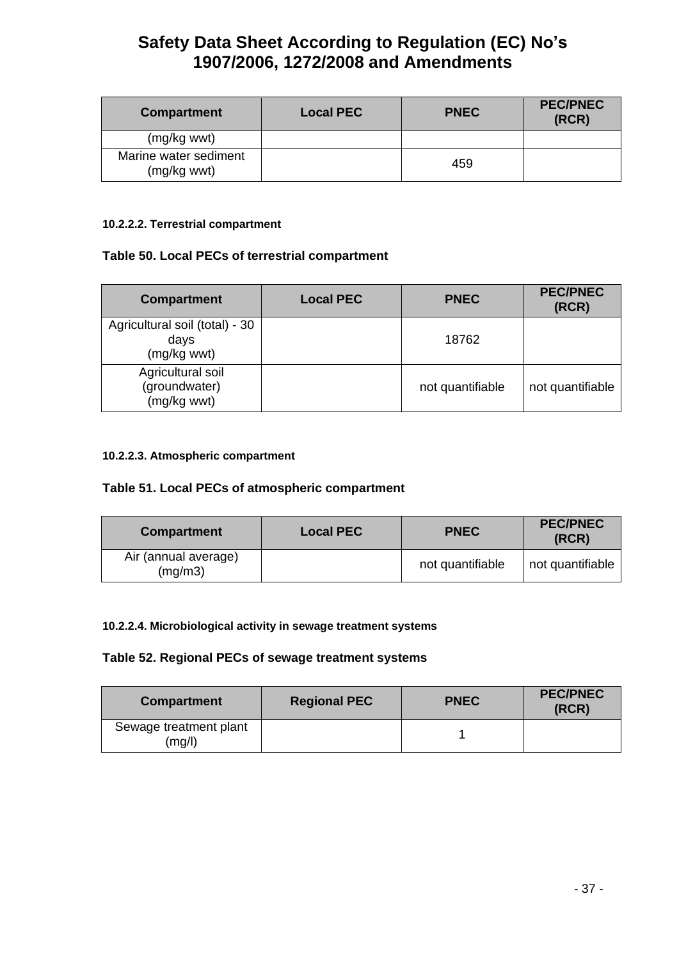| <b>Compartment</b>                   | <b>Local PEC</b> | <b>PNEC</b> | <b>PEC/PNEC</b><br>(RCR) |
|--------------------------------------|------------------|-------------|--------------------------|
| (mg/kg wwt)                          |                  |             |                          |
| Marine water sediment<br>(mg/kg wwt) |                  | 459         |                          |

### **10.2.2.2. Terrestrial compartment**

## **Table 50. Local PECs of terrestrial compartment**

| <b>Compartment</b>                                    | <b>Local PEC</b> | <b>PNEC</b>      | <b>PEC/PNEC</b><br>(RCR) |
|-------------------------------------------------------|------------------|------------------|--------------------------|
| Agricultural soil (total) - 30<br>days<br>(mg/kg wwt) |                  | 18762            |                          |
| Agricultural soil<br>(groundwater)<br>(mg/kg wwt)     |                  | not quantifiable | not quantifiable         |

### **10.2.2.3. Atmospheric compartment**

### **Table 51. Local PECs of atmospheric compartment**

| <b>Compartment</b>              | <b>Local PEC</b> | <b>PNEC</b>      | <b>PEC/PNEC</b><br>(RCR) |
|---------------------------------|------------------|------------------|--------------------------|
| Air (annual average)<br>(mq/m3) |                  | not quantifiable | not quantifiable         |

#### **10.2.2.4. Microbiological activity in sewage treatment systems**

#### **Table 52. Regional PECs of sewage treatment systems**

| <b>Compartment</b>               | <b>Regional PEC</b> | <b>PNEC</b> | <b>PEC/PNEC</b><br>(RCR) |
|----------------------------------|---------------------|-------------|--------------------------|
| Sewage treatment plant<br>(mg/l) |                     |             |                          |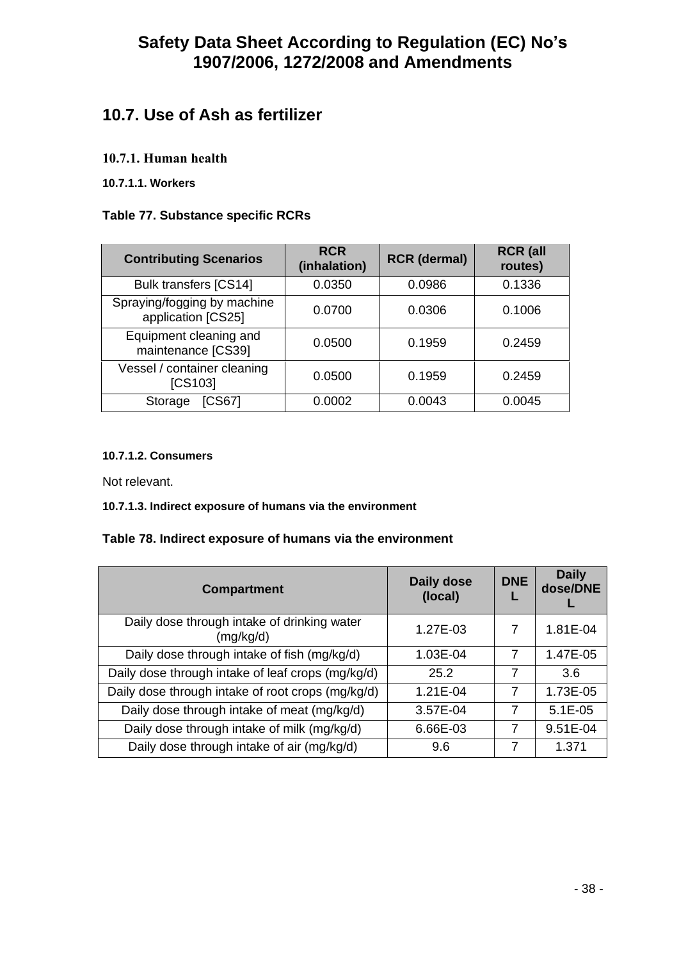# **10.7. Use of Ash as fertilizer**

# **10.7.1. Human health**

# **10.7.1.1. Workers**

## **Table 77. Substance specific RCRs**

| <b>Contributing Scenarios</b>                     | <b>RCR</b><br>(inhalation) | <b>RCR</b> (dermal) | <b>RCR</b> (all<br>routes) |
|---------------------------------------------------|----------------------------|---------------------|----------------------------|
| <b>Bulk transfers [CS14]</b>                      | 0.0350                     | 0.0986              | 0.1336                     |
| Spraying/fogging by machine<br>application [CS25] | 0.0700                     | 0.0306              | 0.1006                     |
| Equipment cleaning and<br>maintenance [CS39]      | 0.0500                     | 0.1959              | 0.2459                     |
| Vessel / container cleaning<br>[CS103]            | 0.0500                     | 0.1959              | 0.2459                     |
| <b>[CS67]</b><br>Storage                          | 0.0002                     | 0.0043              | 0.0045                     |

## **10.7.1.2. Consumers**

Not relevant.

# **10.7.1.3. Indirect exposure of humans via the environment**

### **Table 78. Indirect exposure of humans via the environment**

| <b>Compartment</b>                                       | <b>Daily dose</b><br>(local) | <b>DNE</b> | <b>Daily</b><br>dose/DNE |
|----------------------------------------------------------|------------------------------|------------|--------------------------|
| Daily dose through intake of drinking water<br>(mg/kg/d) | 1.27E-03                     | 7          | 1.81E-04                 |
| Daily dose through intake of fish (mg/kg/d)              | 1.03E-04                     | 7          | 1.47E-05                 |
| Daily dose through intake of leaf crops (mg/kg/d)        | 25.2                         | 7          | 3.6                      |
| Daily dose through intake of root crops (mg/kg/d)        | $1.21E - 04$                 |            | 1.73E-05                 |
| Daily dose through intake of meat (mg/kg/d)              | 3.57E-04                     |            | $5.1E-05$                |
| Daily dose through intake of milk (mg/kg/d)              | 6.66E-03                     |            | 9.51E-04                 |
| Daily dose through intake of air (mg/kg/d)               | 9.6                          |            | 1.371                    |